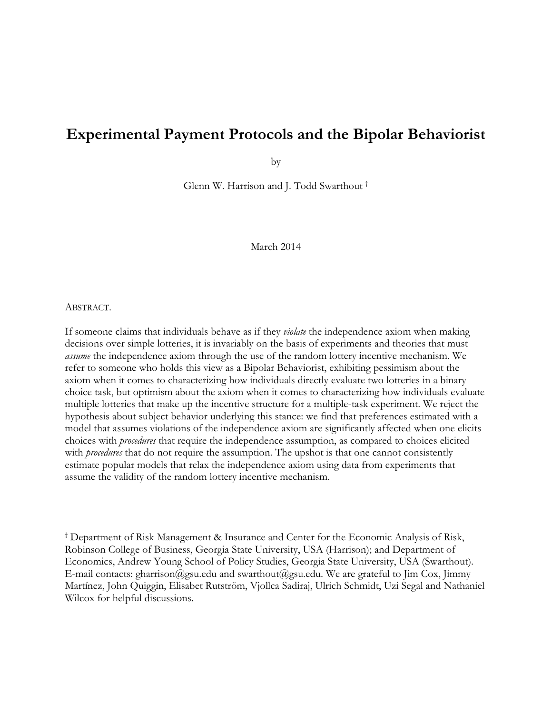# **Experimental Payment Protocols and the Bipolar Behaviorist**

by

Glenn W. Harrison and J. Todd Swarthout †

March 2014

### ABSTRACT.

If someone claims that individuals behave as if they *violate* the independence axiom when making decisions over simple lotteries, it is invariably on the basis of experiments and theories that must *assume* the independence axiom through the use of the random lottery incentive mechanism. We refer to someone who holds this view as a Bipolar Behaviorist, exhibiting pessimism about the axiom when it comes to characterizing how individuals directly evaluate two lotteries in a binary choice task, but optimism about the axiom when it comes to characterizing how individuals evaluate multiple lotteries that make up the incentive structure for a multiple-task experiment. We reject the hypothesis about subject behavior underlying this stance: we find that preferences estimated with a model that assumes violations of the independence axiom are significantly affected when one elicits choices with *procedures* that require the independence assumption, as compared to choices elicited with *procedures* that do not require the assumption. The upshot is that one cannot consistently estimate popular models that relax the independence axiom using data from experiments that assume the validity of the random lottery incentive mechanism.

 Department of Risk Management & Insurance and Center for the Economic Analysis of Risk, † Robinson College of Business, Georgia State University, USA (Harrison); and Department of Economics, Andrew Young School of Policy Studies, Georgia State University, USA (Swarthout). E-mail contacts: gharrison@gsu.edu and swarthout@gsu.edu. We are grateful to Jim Cox, Jimmy Martínez, John Quiggin, Elisabet Rutström, Vjollca Sadiraj, Ulrich Schmidt, Uzi Segal and Nathaniel Wilcox for helpful discussions.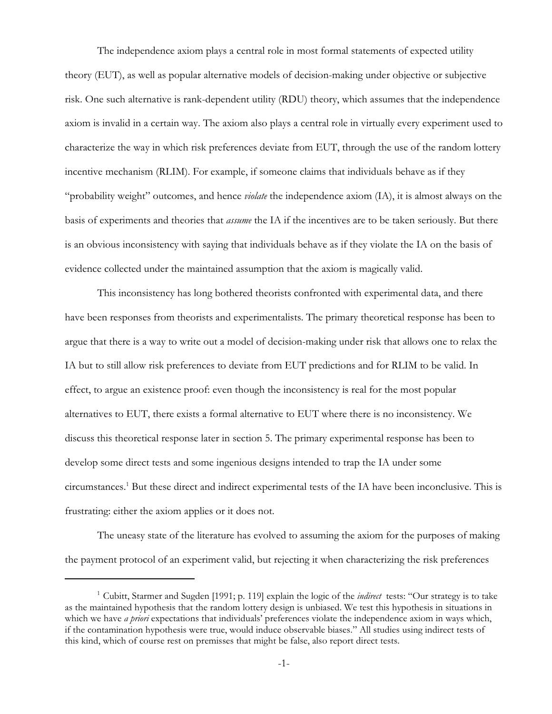The independence axiom plays a central role in most formal statements of expected utility theory (EUT), as well as popular alternative models of decision-making under objective or subjective risk. One such alternative is rank-dependent utility (RDU) theory, which assumes that the independence axiom is invalid in a certain way. The axiom also plays a central role in virtually every experiment used to characterize the way in which risk preferences deviate from EUT, through the use of the random lottery incentive mechanism (RLIM). For example, if someone claims that individuals behave as if they "probability weight" outcomes, and hence *violate* the independence axiom (IA), it is almost always on the basis of experiments and theories that *assume* the IA if the incentives are to be taken seriously. But there is an obvious inconsistency with saying that individuals behave as if they violate the IA on the basis of evidence collected under the maintained assumption that the axiom is magically valid.

This inconsistency has long bothered theorists confronted with experimental data, and there have been responses from theorists and experimentalists. The primary theoretical response has been to argue that there is a way to write out a model of decision-making under risk that allows one to relax the IA but to still allow risk preferences to deviate from EUT predictions and for RLIM to be valid. In effect, to argue an existence proof: even though the inconsistency is real for the most popular alternatives to EUT, there exists a formal alternative to EUT where there is no inconsistency. We discuss this theoretical response later in section 5. The primary experimental response has been to develop some direct tests and some ingenious designs intended to trap the IA under some circumstances.<sup>1</sup> But these direct and indirect experimental tests of the IA have been inconclusive. This is frustrating: either the axiom applies or it does not.

The uneasy state of the literature has evolved to assuming the axiom for the purposes of making the payment protocol of an experiment valid, but rejecting it when characterizing the risk preferences

<sup>&</sup>lt;sup>1</sup> Cubitt, Starmer and Sugden [1991; p. 119] explain the logic of the *indirect* tests: "Our strategy is to take as the maintained hypothesis that the random lottery design is unbiased. We test this hypothesis in situations in which we have *a priori* expectations that individuals' preferences violate the independence axiom in ways which, if the contamination hypothesis were true, would induce observable biases." All studies using indirect tests of this kind, which of course rest on premisses that might be false, also report direct tests.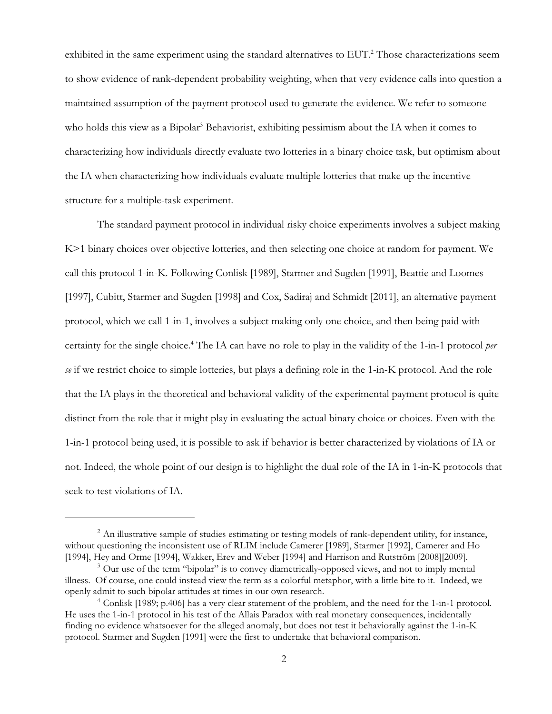exhibited in the same experiment using the standard alternatives to EUT.<sup>2</sup> Those characterizations seem to show evidence of rank-dependent probability weighting, when that very evidence calls into question a maintained assumption of the payment protocol used to generate the evidence. We refer to someone who holds this view as a Bipolar<sup>3</sup> Behaviorist, exhibiting pessimism about the IA when it comes to characterizing how individuals directly evaluate two lotteries in a binary choice task, but optimism about the IA when characterizing how individuals evaluate multiple lotteries that make up the incentive structure for a multiple-task experiment.

The standard payment protocol in individual risky choice experiments involves a subject making K>1 binary choices over objective lotteries, and then selecting one choice at random for payment. We call this protocol 1-in-K. Following Conlisk [1989], Starmer and Sugden [1991], Beattie and Loomes [1997], Cubitt, Starmer and Sugden [1998] and Cox, Sadiraj and Schmidt [2011], an alternative payment protocol, which we call 1-in-1, involves a subject making only one choice, and then being paid with certainty for the single choice.<sup>4</sup> The IA can have no role to play in the validity of the 1-in-1 protocol *per se* if we restrict choice to simple lotteries, but plays a defining role in the 1-in-K protocol. And the role that the IA plays in the theoretical and behavioral validity of the experimental payment protocol is quite distinct from the role that it might play in evaluating the actual binary choice or choices. Even with the 1-in-1 protocol being used, it is possible to ask if behavior is better characterized by violations of IA or not. Indeed, the whole point of our design is to highlight the dual role of the IA in 1-in-K protocols that seek to test violations of IA.

<sup>&</sup>lt;sup>2</sup> An illustrative sample of studies estimating or testing models of rank-dependent utility, for instance, without questioning the inconsistent use of RLIM include Camerer [1989], Starmer [1992], Camerer and Ho [1994], Hey and Orme [1994], Wakker, Erev and Weber [1994] and Harrison and Rutström [2008][2009].

<sup>&</sup>lt;sup>3</sup> Our use of the term "bipolar" is to convey diametrically-opposed views, and not to imply mental illness. Of course, one could instead view the term as a colorful metaphor, with a little bite to it. Indeed, we openly admit to such bipolar attitudes at times in our own research.

<sup>&</sup>lt;sup>4</sup> Conlisk [1989; p.406] has a very clear statement of the problem, and the need for the 1-in-1 protocol. He uses the 1-in-1 protocol in his test of the Allais Paradox with real monetary consequences, incidentally finding no evidence whatsoever for the alleged anomaly, but does not test it behaviorally against the 1-in-K protocol. Starmer and Sugden [1991] were the first to undertake that behavioral comparison.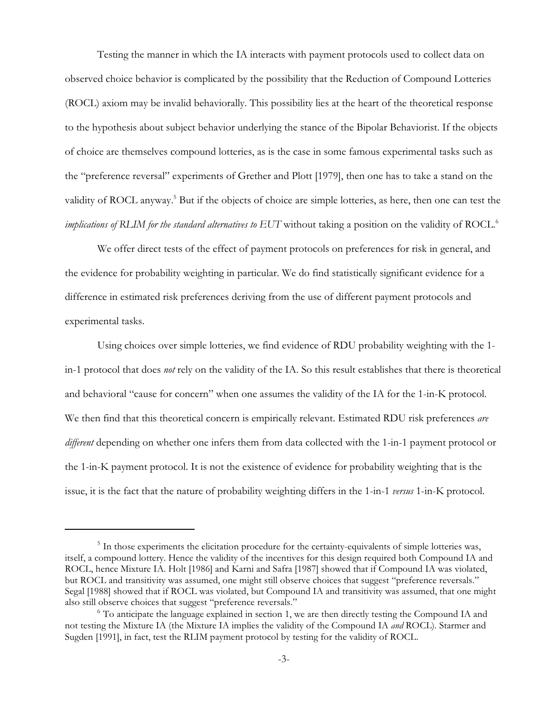Testing the manner in which the IA interacts with payment protocols used to collect data on observed choice behavior is complicated by the possibility that the Reduction of Compound Lotteries (ROCL) axiom may be invalid behaviorally. This possibility lies at the heart of the theoretical response to the hypothesis about subject behavior underlying the stance of the Bipolar Behaviorist. If the objects of choice are themselves compound lotteries, as is the case in some famous experimental tasks such as the "preference reversal" experiments of Grether and Plott [1979], then one has to take a stand on the validity of ROCL anyway.<sup>5</sup> But if the objects of choice are simple lotteries, as here, then one can test the *implications of RLIM for the standard alternatives to EUT* without taking a position on the validity of ROCL.<sup>6</sup>

We offer direct tests of the effect of payment protocols on preferences for risk in general, and the evidence for probability weighting in particular. We do find statistically significant evidence for a difference in estimated risk preferences deriving from the use of different payment protocols and experimental tasks.

Using choices over simple lotteries, we find evidence of RDU probability weighting with the 1 in-1 protocol that does *not* rely on the validity of the IA. So this result establishes that there is theoretical and behavioral "cause for concern" when one assumes the validity of the IA for the 1-in-K protocol. We then find that this theoretical concern is empirically relevant. Estimated RDU risk preferences *are different* depending on whether one infers them from data collected with the 1-in-1 payment protocol or the 1-in-K payment protocol. It is not the existence of evidence for probability weighting that is the issue, it is the fact that the nature of probability weighting differs in the 1-in-1 *versus* 1-in-K protocol.

 $5$  In those experiments the elicitation procedure for the certainty-equivalents of simple lotteries was, itself, a compound lottery. Hence the validity of the incentives for this design required both Compound IA and ROCL, hence Mixture IA. Holt [1986] and Karni and Safra [1987] showed that if Compound IA was violated, but ROCL and transitivity was assumed, one might still observe choices that suggest "preference reversals." Segal [1988] showed that if ROCL was violated, but Compound IA and transitivity was assumed, that one might also still observe choices that suggest "preference reversals."

 $6$  To anticipate the language explained in section 1, we are then directly testing the Compound IA and not testing the Mixture IA (the Mixture IA implies the validity of the Compound IA *and* ROCL). Starmer and Sugden [1991], in fact, test the RLIM payment protocol by testing for the validity of ROCL.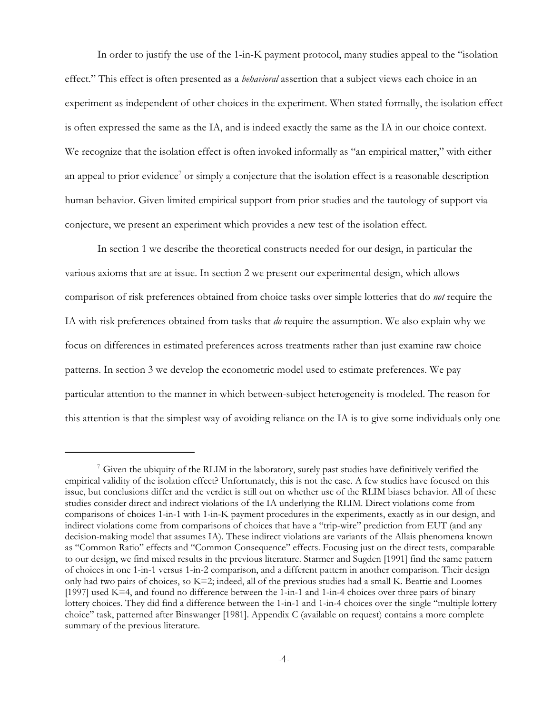In order to justify the use of the 1-in-K payment protocol, many studies appeal to the "isolation effect." This effect is often presented as a *behavioral* assertion that a subject views each choice in an experiment as independent of other choices in the experiment. When stated formally, the isolation effect is often expressed the same as the IA, and is indeed exactly the same as the IA in our choice context. We recognize that the isolation effect is often invoked informally as "an empirical matter," with either an appeal to prior evidence<sup>7</sup> or simply a conjecture that the isolation effect is a reasonable description human behavior. Given limited empirical support from prior studies and the tautology of support via conjecture, we present an experiment which provides a new test of the isolation effect.

In section 1 we describe the theoretical constructs needed for our design, in particular the various axioms that are at issue. In section 2 we present our experimental design, which allows comparison of risk preferences obtained from choice tasks over simple lotteries that do *not* require the IA with risk preferences obtained from tasks that *do* require the assumption. We also explain why we focus on differences in estimated preferences across treatments rather than just examine raw choice patterns. In section 3 we develop the econometric model used to estimate preferences. We pay particular attention to the manner in which between-subject heterogeneity is modeled. The reason for this attention is that the simplest way of avoiding reliance on the IA is to give some individuals only one

 $\frac{7}{7}$  Given the ubiquity of the RLIM in the laboratory, surely past studies have definitively verified the empirical validity of the isolation effect? Unfortunately, this is not the case. A few studies have focused on this issue, but conclusions differ and the verdict is still out on whether use of the RLIM biases behavior. All of these studies consider direct and indirect violations of the IA underlying the RLIM. Direct violations come from comparisons of choices 1-in-1 with 1-in-K payment procedures in the experiments, exactly as in our design, and indirect violations come from comparisons of choices that have a "trip-wire" prediction from EUT (and any decision-making model that assumes IA). These indirect violations are variants of the Allais phenomena known as "Common Ratio" effects and "Common Consequence" effects. Focusing just on the direct tests, comparable to our design, we find mixed results in the previous literature. Starmer and Sugden [1991] find the same pattern of choices in one 1-in-1 versus 1-in-2 comparison, and a different pattern in another comparison. Their design only had two pairs of choices, so K=2; indeed, all of the previous studies had a small K. Beattie and Loomes [1997] used K=4, and found no difference between the 1-in-1 and 1-in-4 choices over three pairs of binary lottery choices. They did find a difference between the 1-in-1 and 1-in-4 choices over the single "multiple lottery choice" task, patterned after Binswanger [1981]. Appendix C (available on request) contains a more complete summary of the previous literature.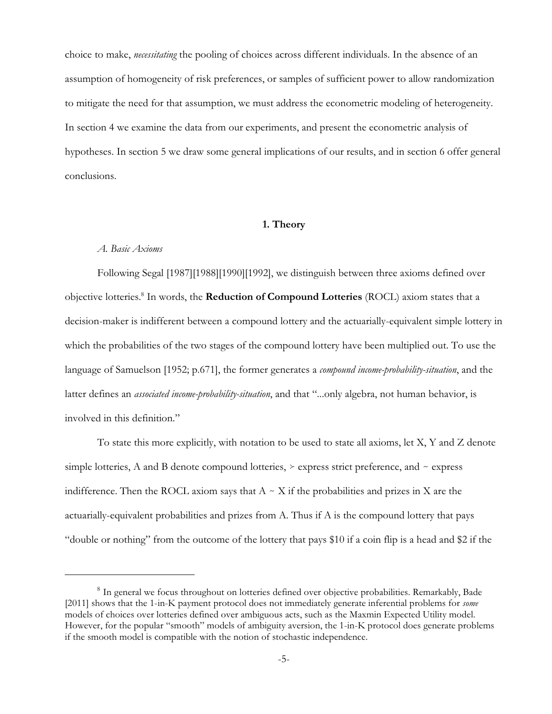choice to make, *necessitating* the pooling of choices across different individuals. In the absence of an assumption of homogeneity of risk preferences, or samples of sufficient power to allow randomization to mitigate the need for that assumption, we must address the econometric modeling of heterogeneity. In section 4 we examine the data from our experiments, and present the econometric analysis of hypotheses. In section 5 we draw some general implications of our results, and in section 6 offer general conclusions.

### **1. Theory**

### *A. Basic Axioms*

Following Segal [1987][1988][1990][1992], we distinguish between three axioms defined over objective lotteries. In words, the **Reduction of Compound Lotteries** (ROCL) axiom states that a <sup>8</sup> decision-maker is indifferent between a compound lottery and the actuarially-equivalent simple lottery in which the probabilities of the two stages of the compound lottery have been multiplied out. To use the language of Samuelson [1952; p.671], the former generates a *compound income-probability-situation*, and the latter defines an *associated income-probability-situation*, and that "...only algebra, not human behavior, is involved in this definition."

To state this more explicitly, with notation to be used to state all axioms, let X, Y and Z denote simple lotteries, A and B denote compound lotteries,  $\geq$  express strict preference, and  $\sim$  express indifference. Then the ROCL axiom says that  $A \sim X$  if the probabilities and prizes in X are the actuarially-equivalent probabilities and prizes from A. Thus if A is the compound lottery that pays "double or nothing" from the outcome of the lottery that pays \$10 if a coin flip is a head and \$2 if the

<sup>&</sup>lt;sup>8</sup> In general we focus throughout on lotteries defined over objective probabilities. Remarkably, Bade [2011] shows that the 1-in-K payment protocol does not immediately generate inferential problems for *some* models of choices over lotteries defined over ambiguous acts, such as the Maxmin Expected Utility model. However, for the popular "smooth" models of ambiguity aversion, the 1-in-K protocol does generate problems if the smooth model is compatible with the notion of stochastic independence.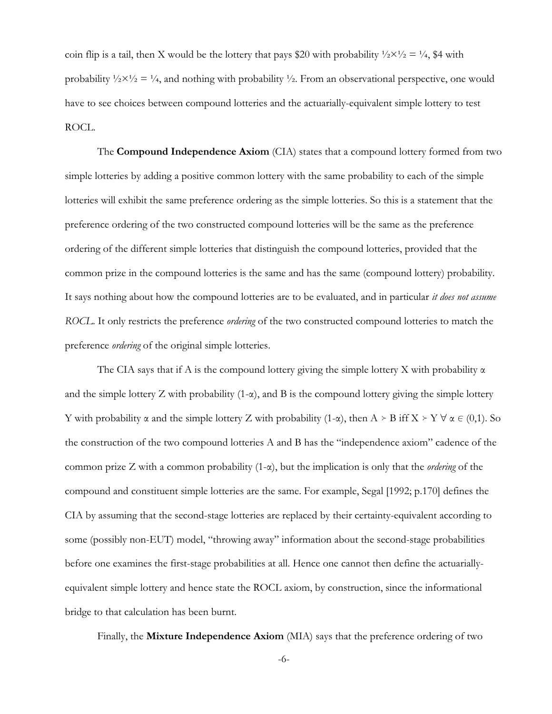coin flip is a tail, then X would be the lottery that pays \$20 with probability  $\frac{1}{2} \times \frac{1}{2} = \frac{1}{4}$ , \$4 with probability  $\frac{1}{2} \times \frac{1}{2} = \frac{1}{4}$ , and nothing with probability  $\frac{1}{2}$ . From an observational perspective, one would have to see choices between compound lotteries and the actuarially-equivalent simple lottery to test ROCL.

The **Compound Independence Axiom** (CIA) states that a compound lottery formed from two simple lotteries by adding a positive common lottery with the same probability to each of the simple lotteries will exhibit the same preference ordering as the simple lotteries. So this is a statement that the preference ordering of the two constructed compound lotteries will be the same as the preference ordering of the different simple lotteries that distinguish the compound lotteries, provided that the common prize in the compound lotteries is the same and has the same (compound lottery) probability. It says nothing about how the compound lotteries are to be evaluated, and in particular *it does not assume ROCL*. It only restricts the preference *ordering* of the two constructed compound lotteries to match the preference *ordering* of the original simple lotteries.

The CIA says that if A is the compound lottery giving the simple lottery X with probability  $\alpha$ and the simple lottery  $Z$  with probability  $(1-\alpha)$ , and  $B$  is the compound lottery giving the simple lottery Y with probability  $\alpha$  and the simple lottery Z with probability (1- $\alpha$ ), then A > B iff X > Y  $\forall \alpha \in (0,1)$ . So the construction of the two compound lotteries A and B has the "independence axiom" cadence of the common prize Z with a common probability  $(1-\alpha)$ , but the implication is only that the *ordering* of the compound and constituent simple lotteries are the same. For example, Segal [1992; p.170] defines the CIA by assuming that the second-stage lotteries are replaced by their certainty-equivalent according to some (possibly non-EUT) model, "throwing away" information about the second-stage probabilities before one examines the first-stage probabilities at all. Hence one cannot then define the actuariallyequivalent simple lottery and hence state the ROCL axiom, by construction, since the informational bridge to that calculation has been burnt.

Finally, the **Mixture Independence Axiom** (MIA) says that the preference ordering of two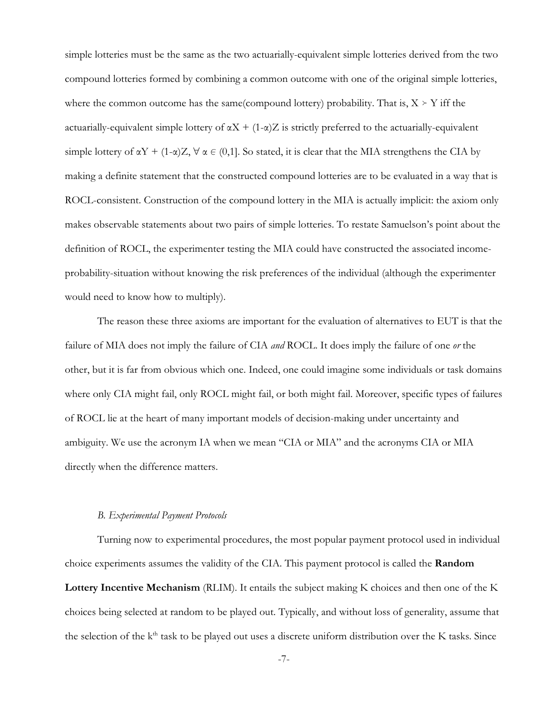simple lotteries must be the same as the two actuarially-equivalent simple lotteries derived from the two compound lotteries formed by combining a common outcome with one of the original simple lotteries, where the common outcome has the same(compound lottery) probability. That is,  $X \ge Y$  iff the actuarially-equivalent simple lottery of  $\alpha X + (1-\alpha)Z$  is strictly preferred to the actuarially-equivalent simple lottery of  $\alpha Y + (1-\alpha)Z$ ,  $\forall \alpha \in (0,1]$ . So stated, it is clear that the MIA strengthens the CIA by making a definite statement that the constructed compound lotteries are to be evaluated in a way that is ROCL-consistent. Construction of the compound lottery in the MIA is actually implicit: the axiom only makes observable statements about two pairs of simple lotteries. To restate Samuelson's point about the definition of ROCL, the experimenter testing the MIA could have constructed the associated incomeprobability-situation without knowing the risk preferences of the individual (although the experimenter would need to know how to multiply).

The reason these three axioms are important for the evaluation of alternatives to EUT is that the failure of MIA does not imply the failure of CIA *and* ROCL. It does imply the failure of one *or* the other, but it is far from obvious which one. Indeed, one could imagine some individuals or task domains where only CIA might fail, only ROCL might fail, or both might fail. Moreover, specific types of failures of ROCL lie at the heart of many important models of decision-making under uncertainty and ambiguity. We use the acronym IA when we mean "CIA or MIA" and the acronyms CIA or MIA directly when the difference matters.

### *B. Experimental Payment Protocols*

Turning now to experimental procedures, the most popular payment protocol used in individual choice experiments assumes the validity of the CIA. This payment protocol is called the **Random Lottery Incentive Mechanism** (RLIM). It entails the subject making K choices and then one of the K choices being selected at random to be played out. Typically, and without loss of generality, assume that the selection of the  $k<sup>th</sup>$  task to be played out uses a discrete uniform distribution over the K tasks. Since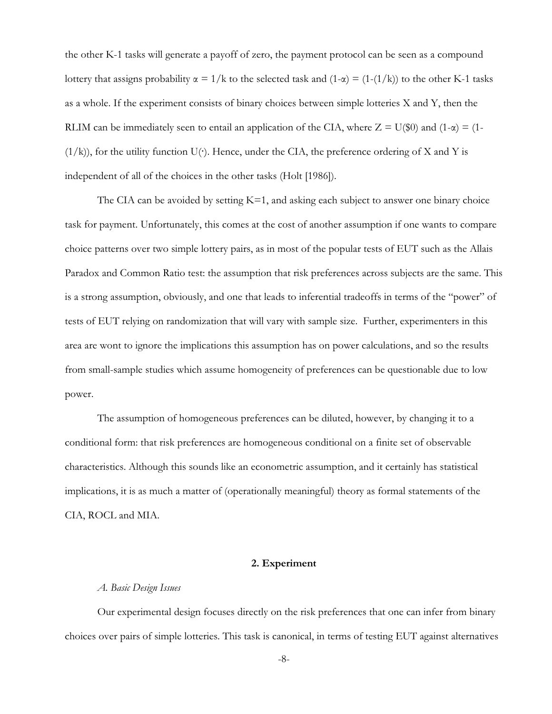the other K-1 tasks will generate a payoff of zero, the payment protocol can be seen as a compound lottery that assigns probability  $\alpha = 1/k$  to the selected task and  $(1-\alpha) = (1-(1/k))$  to the other K-1 tasks as a whole. If the experiment consists of binary choices between simple lotteries X and Y, then the RLIM can be immediately seen to entail an application of the CIA, where  $Z = U(\$0)$  and  $(1-\alpha) = (1-\alpha)$  $(1/k)$ , for the utility function U( $\cdot$ ). Hence, under the CIA, the preference ordering of X and Y is independent of all of the choices in the other tasks (Holt [1986]).

The CIA can be avoided by setting  $K=1$ , and asking each subject to answer one binary choice task for payment. Unfortunately, this comes at the cost of another assumption if one wants to compare choice patterns over two simple lottery pairs, as in most of the popular tests of EUT such as the Allais Paradox and Common Ratio test: the assumption that risk preferences across subjects are the same. This is a strong assumption, obviously, and one that leads to inferential tradeoffs in terms of the "power" of tests of EUT relying on randomization that will vary with sample size. Further, experimenters in this area are wont to ignore the implications this assumption has on power calculations, and so the results from small-sample studies which assume homogeneity of preferences can be questionable due to low power.

The assumption of homogeneous preferences can be diluted, however, by changing it to a conditional form: that risk preferences are homogeneous conditional on a finite set of observable characteristics. Although this sounds like an econometric assumption, and it certainly has statistical implications, it is as much a matter of (operationally meaningful) theory as formal statements of the CIA, ROCL and MIA.

### **2. Experiment**

#### *A. Basic Design Issues*

Our experimental design focuses directly on the risk preferences that one can infer from binary choices over pairs of simple lotteries. This task is canonical, in terms of testing EUT against alternatives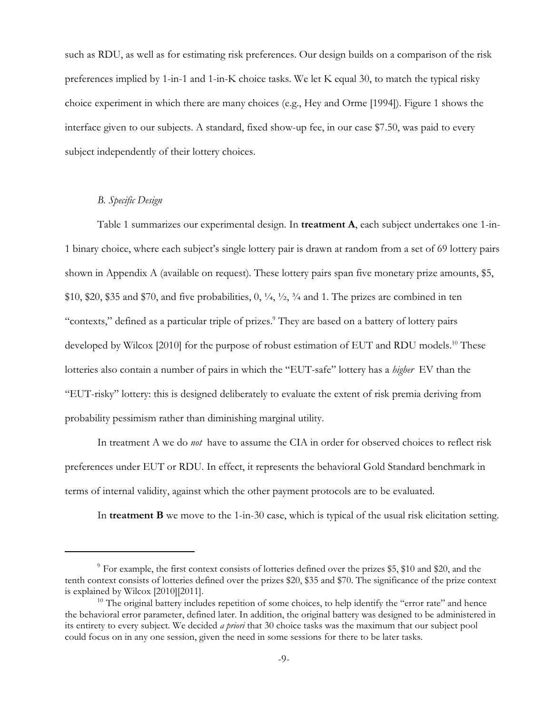such as RDU, as well as for estimating risk preferences. Our design builds on a comparison of the risk preferences implied by 1-in-1 and 1-in-K choice tasks. We let K equal 30, to match the typical risky choice experiment in which there are many choices (e.g., Hey and Orme [1994]). Figure 1 shows the interface given to our subjects. A standard, fixed show-up fee, in our case \$7.50, was paid to every subject independently of their lottery choices.

### *B. Specific Design*

Table 1 summarizes our experimental design. In **treatment A**, each subject undertakes one 1-in-1 binary choice, where each subject's single lottery pair is drawn at random from a set of 69 lottery pairs shown in Appendix A (available on request). These lottery pairs span five monetary prize amounts, \$5, \$10, \$20, \$35 and \$70, and five probabilities,  $0$ ,  $\frac{1}{4}$ ,  $\frac{1}{2}$ ,  $\frac{3}{4}$  and 1. The prizes are combined in ten "contexts," defined as a particular triple of prizes.<sup>9</sup> They are based on a battery of lottery pairs developed by Wilcox  $[2010]$  for the purpose of robust estimation of EUT and RDU models.<sup>10</sup> These lotteries also contain a number of pairs in which the "EUT-safe" lottery has a *higher* EV than the "EUT-risky" lottery: this is designed deliberately to evaluate the extent of risk premia deriving from probability pessimism rather than diminishing marginal utility.

In treatment A we do *not* have to assume the CIA in order for observed choices to reflect risk preferences under EUT or RDU. In effect, it represents the behavioral Gold Standard benchmark in terms of internal validity, against which the other payment protocols are to be evaluated.

In **treatment B** we move to the 1-in-30 case, which is typical of the usual risk elicitation setting.

 $\degree$  For example, the first context consists of lotteries defined over the prizes \$5, \$10 and \$20, and the tenth context consists of lotteries defined over the prizes \$20, \$35 and \$70. The significance of the prize context is explained by Wilcox [2010][2011].

 $10$  The original battery includes repetition of some choices, to help identify the "error rate" and hence the behavioral error parameter, defined later. In addition, the original battery was designed to be administered in its entirety to every subject. We decided *a priori* that 30 choice tasks was the maximum that our subject pool could focus on in any one session, given the need in some sessions for there to be later tasks.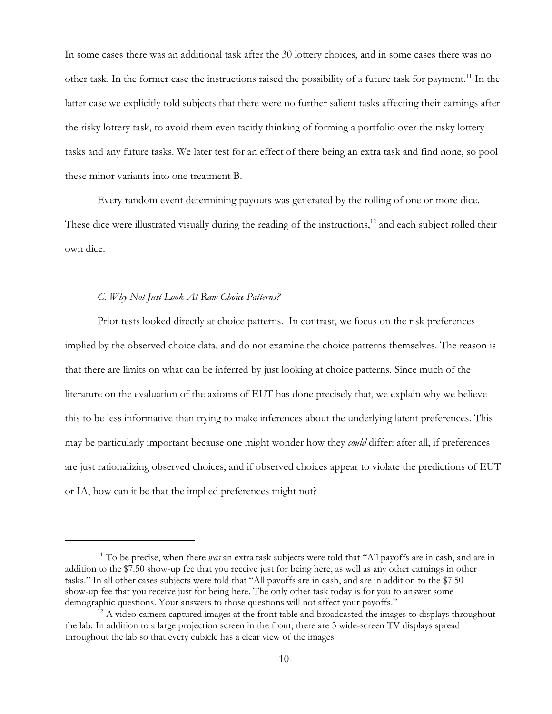In some cases there was an additional task after the 30 lottery choices, and in some cases there was no other task. In the former case the instructions raised the possibility of a future task for payment.<sup>11</sup> In the latter case we explicitly told subjects that there were no further salient tasks affecting their earnings after the risky lottery task, to avoid them even tacitly thinking of forming a portfolio over the risky lottery tasks and any future tasks. We later test for an effect of there being an extra task and find none, so pool these minor variants into one treatment B.

Every random event determining payouts was generated by the rolling of one or more dice. These dice were illustrated visually during the reading of the instructions, $^{12}$  and each subject rolled their own dice.

### *C. Why Not Just Look At Raw Choice Patterns?*

Prior tests looked directly at choice patterns. In contrast, we focus on the risk preferences implied by the observed choice data, and do not examine the choice patterns themselves. The reason is that there are limits on what can be inferred by just looking at choice patterns. Since much of the literature on the evaluation of the axioms of EUT has done precisely that, we explain why we believe this to be less informative than trying to make inferences about the underlying latent preferences. This may be particularly important because one might wonder how they *could* differ: after all, if preferences are just rationalizing observed choices, and if observed choices appear to violate the predictions of EUT or IA, how can it be that the implied preferences might not?

<sup>&</sup>lt;sup>11</sup> To be precise, when there *was* an extra task subjects were told that "All payoffs are in cash, and are in addition to the \$7.50 show-up fee that you receive just for being here, as well as any other earnings in other tasks." In all other cases subjects were told that "All payoffs are in cash, and are in addition to the \$7.50 show-up fee that you receive just for being here. The only other task today is for you to answer some demographic questions. Your answers to those questions will not affect your payoffs."

 $^{12}$  A video camera captured images at the front table and broadcasted the images to displays throughout the lab. In addition to a large projection screen in the front, there are 3 wide-screen TV displays spread throughout the lab so that every cubicle has a clear view of the images.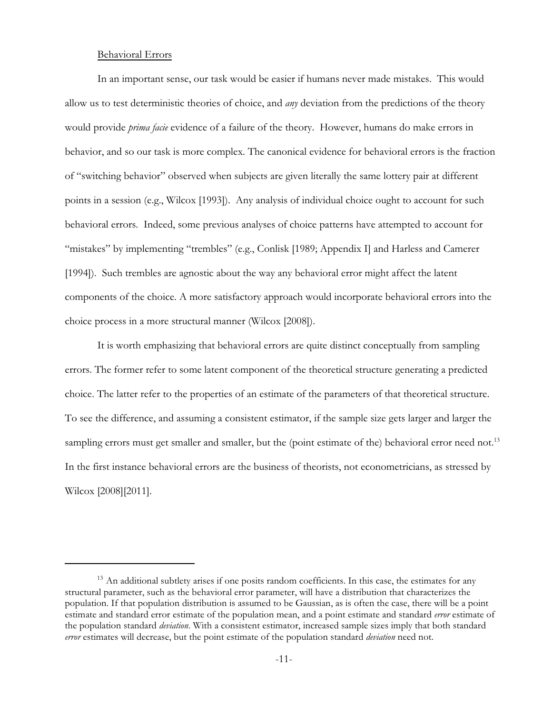### Behavioral Errors

In an important sense, our task would be easier if humans never made mistakes. This would allow us to test deterministic theories of choice, and *any* deviation from the predictions of the theory would provide *prima facie* evidence of a failure of the theory. However, humans do make errors in behavior, and so our task is more complex. The canonical evidence for behavioral errors is the fraction of "switching behavior" observed when subjects are given literally the same lottery pair at different points in a session (e.g., Wilcox [1993]). Any analysis of individual choice ought to account for such behavioral errors. Indeed, some previous analyses of choice patterns have attempted to account for "mistakes" by implementing "trembles" (e.g., Conlisk [1989; Appendix I] and Harless and Camerer [1994]). Such trembles are agnostic about the way any behavioral error might affect the latent components of the choice. A more satisfactory approach would incorporate behavioral errors into the choice process in a more structural manner (Wilcox [2008]).

It is worth emphasizing that behavioral errors are quite distinct conceptually from sampling errors. The former refer to some latent component of the theoretical structure generating a predicted choice. The latter refer to the properties of an estimate of the parameters of that theoretical structure. To see the difference, and assuming a consistent estimator, if the sample size gets larger and larger the sampling errors must get smaller and smaller, but the (point estimate of the) behavioral error need not.<sup>13</sup> In the first instance behavioral errors are the business of theorists, not econometricians, as stressed by Wilcox [2008][2011].

<sup>&</sup>lt;sup>13</sup> An additional subtlety arises if one posits random coefficients. In this case, the estimates for any structural parameter, such as the behavioral error parameter, will have a distribution that characterizes the population. If that population distribution is assumed to be Gaussian, as is often the case, there will be a point estimate and standard error estimate of the population mean, and a point estimate and standard *error* estimate of the population standard *deviation*. With a consistent estimator, increased sample sizes imply that both standard *error* estimates will decrease, but the point estimate of the population standard *deviation* need not.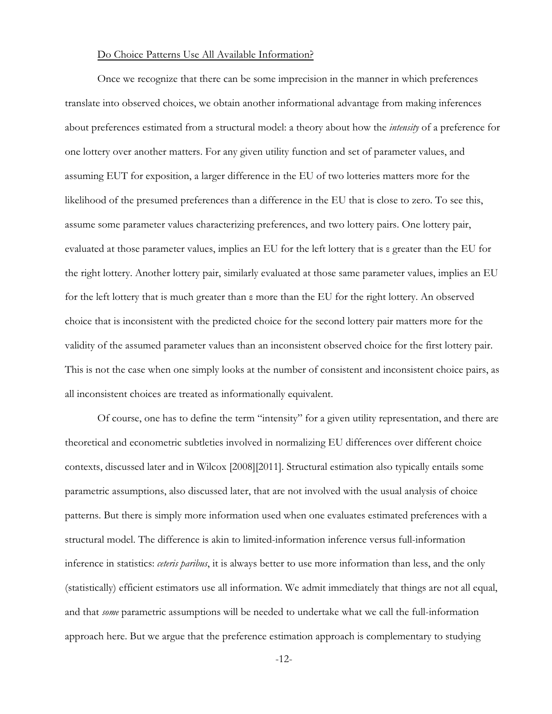### Do Choice Patterns Use All Available Information?

Once we recognize that there can be some imprecision in the manner in which preferences translate into observed choices, we obtain another informational advantage from making inferences about preferences estimated from a structural model: a theory about how the *intensity* of a preference for one lottery over another matters. For any given utility function and set of parameter values, and assuming EUT for exposition, a larger difference in the EU of two lotteries matters more for the likelihood of the presumed preferences than a difference in the EU that is close to zero. To see this, assume some parameter values characterizing preferences, and two lottery pairs. One lottery pair, evaluated at those parameter values, implies an EU for the left lottery that is  $\varepsilon$  greater than the EU for the right lottery. Another lottery pair, similarly evaluated at those same parameter values, implies an EU for the left lottery that is much greater than  $\varepsilon$  more than the EU for the right lottery. An observed choice that is inconsistent with the predicted choice for the second lottery pair matters more for the validity of the assumed parameter values than an inconsistent observed choice for the first lottery pair. This is not the case when one simply looks at the number of consistent and inconsistent choice pairs, as all inconsistent choices are treated as informationally equivalent.

Of course, one has to define the term "intensity" for a given utility representation, and there are theoretical and econometric subtleties involved in normalizing EU differences over different choice contexts, discussed later and in Wilcox [2008][2011]. Structural estimation also typically entails some parametric assumptions, also discussed later, that are not involved with the usual analysis of choice patterns. But there is simply more information used when one evaluates estimated preferences with a structural model. The difference is akin to limited-information inference versus full-information inference in statistics: *ceteris paribus*, it is always better to use more information than less, and the only (statistically) efficient estimators use all information. We admit immediately that things are not all equal, and that *some* parametric assumptions will be needed to undertake what we call the full-information approach here. But we argue that the preference estimation approach is complementary to studying

-12-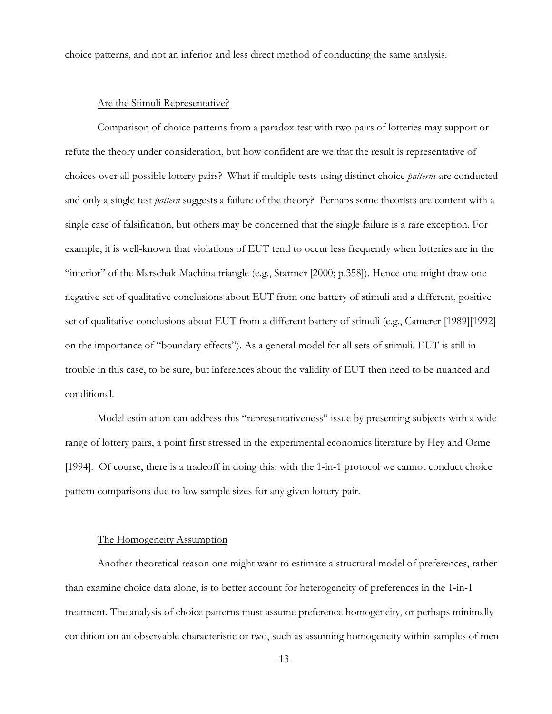choice patterns, and not an inferior and less direct method of conducting the same analysis.

### Are the Stimuli Representative?

Comparison of choice patterns from a paradox test with two pairs of lotteries may support or refute the theory under consideration, but how confident are we that the result is representative of choices over all possible lottery pairs? What if multiple tests using distinct choice *patterns* are conducted and only a single test *pattern* suggests a failure of the theory? Perhaps some theorists are content with a single case of falsification, but others may be concerned that the single failure is a rare exception. For example, it is well-known that violations of EUT tend to occur less frequently when lotteries are in the "interior" of the Marschak-Machina triangle (e.g., Starmer [2000; p.358]). Hence one might draw one negative set of qualitative conclusions about EUT from one battery of stimuli and a different, positive set of qualitative conclusions about EUT from a different battery of stimuli (e.g., Camerer [1989][1992] on the importance of "boundary effects"). As a general model for all sets of stimuli, EUT is still in trouble in this case, to be sure, but inferences about the validity of EUT then need to be nuanced and conditional.

Model estimation can address this "representativeness" issue by presenting subjects with a wide range of lottery pairs, a point first stressed in the experimental economics literature by Hey and Orme [1994]. Of course, there is a tradeoff in doing this: with the 1-in-1 protocol we cannot conduct choice pattern comparisons due to low sample sizes for any given lottery pair.

### The Homogeneity Assumption

Another theoretical reason one might want to estimate a structural model of preferences, rather than examine choice data alone, is to better account for heterogeneity of preferences in the 1-in-1 treatment. The analysis of choice patterns must assume preference homogeneity, or perhaps minimally condition on an observable characteristic or two, such as assuming homogeneity within samples of men

-13-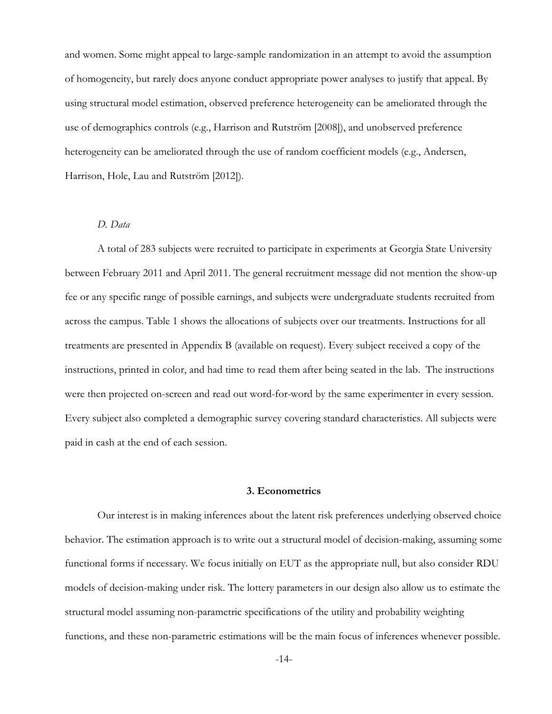and women. Some might appeal to large-sample randomization in an attempt to avoid the assumption of homogeneity, but rarely does anyone conduct appropriate power analyses to justify that appeal. By using structural model estimation, observed preference heterogeneity can be ameliorated through the use of demographics controls (e.g., Harrison and Rutström [2008]), and unobserved preference heterogeneity can be ameliorated through the use of random coefficient models (e.g., Andersen, Harrison, Hole, Lau and Rutström [2012]).

### *D. Data*

A total of 283 subjects were recruited to participate in experiments at Georgia State University between February 2011 and April 2011. The general recruitment message did not mention the show-up fee or any specific range of possible earnings, and subjects were undergraduate students recruited from across the campus. Table 1 shows the allocations of subjects over our treatments. Instructions for all treatments are presented in Appendix B (available on request). Every subject received a copy of the instructions, printed in color, and had time to read them after being seated in the lab. The instructions were then projected on-screen and read out word-for-word by the same experimenter in every session. Every subject also completed a demographic survey covering standard characteristics. All subjects were paid in cash at the end of each session.

### **3. Econometrics**

Our interest is in making inferences about the latent risk preferences underlying observed choice behavior. The estimation approach is to write out a structural model of decision-making, assuming some functional forms if necessary. We focus initially on EUT as the appropriate null, but also consider RDU models of decision-making under risk. The lottery parameters in our design also allow us to estimate the structural model assuming non-parametric specifications of the utility and probability weighting functions, and these non-parametric estimations will be the main focus of inferences whenever possible.

-14-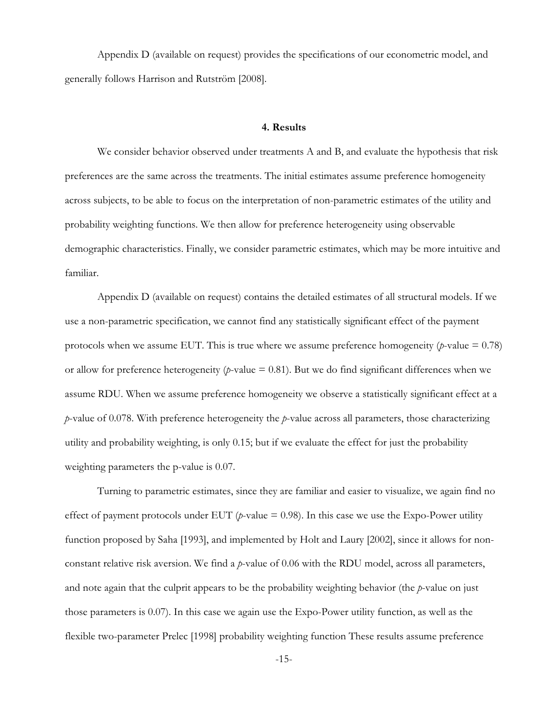Appendix D (available on request) provides the specifications of our econometric model, and generally follows Harrison and Rutström [2008].

### **4. Results**

We consider behavior observed under treatments A and B, and evaluate the hypothesis that risk preferences are the same across the treatments. The initial estimates assume preference homogeneity across subjects, to be able to focus on the interpretation of non-parametric estimates of the utility and probability weighting functions. We then allow for preference heterogeneity using observable demographic characteristics. Finally, we consider parametric estimates, which may be more intuitive and familiar.

Appendix D (available on request) contains the detailed estimates of all structural models. If we use a non-parametric specification, we cannot find any statistically significant effect of the payment protocols when we assume EUT. This is true where we assume preference homogeneity  $(p$ -value = 0.78) or allow for preference heterogeneity  $(p$ -value  $= 0.81)$ . But we do find significant differences when we assume RDU. When we assume preference homogeneity we observe a statistically significant effect at a *p*-value of 0.078. With preference heterogeneity the *p*-value across all parameters, those characterizing utility and probability weighting, is only 0.15; but if we evaluate the effect for just the probability weighting parameters the p-value is 0.07.

Turning to parametric estimates, since they are familiar and easier to visualize, we again find no effect of payment protocols under EUT  $(p$ -value = 0.98). In this case we use the Expo-Power utility function proposed by Saha [1993], and implemented by Holt and Laury [2002], since it allows for nonconstant relative risk aversion. We find a *p*-value of 0.06 with the RDU model, across all parameters, and note again that the culprit appears to be the probability weighting behavior (the *p*-value on just those parameters is 0.07). In this case we again use the Expo-Power utility function, as well as the flexible two-parameter Prelec [1998] probability weighting function These results assume preference

-15-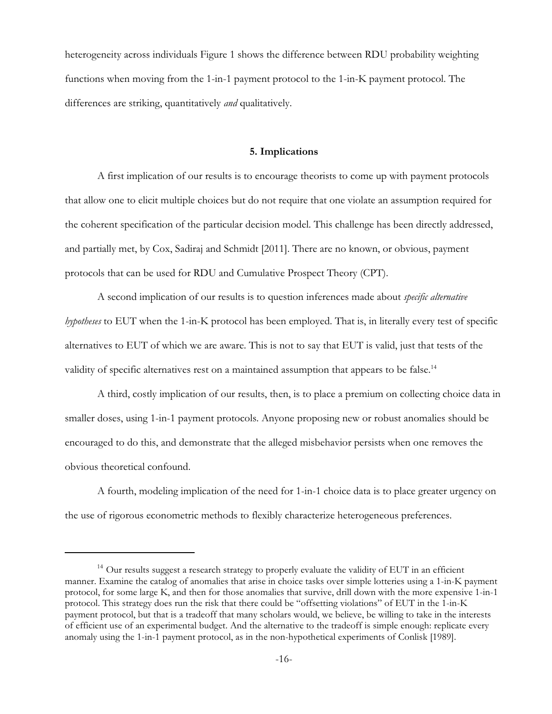heterogeneity across individuals Figure 1 shows the difference between RDU probability weighting functions when moving from the 1-in-1 payment protocol to the 1-in-K payment protocol. The differences are striking, quantitatively *and* qualitatively.

### **5. Implications**

A first implication of our results is to encourage theorists to come up with payment protocols that allow one to elicit multiple choices but do not require that one violate an assumption required for the coherent specification of the particular decision model. This challenge has been directly addressed, and partially met, by Cox, Sadiraj and Schmidt [2011]. There are no known, or obvious, payment protocols that can be used for RDU and Cumulative Prospect Theory (CPT).

A second implication of our results is to question inferences made about *specific alternative hypotheses* to EUT when the 1-in-K protocol has been employed. That is, in literally every test of specific alternatives to EUT of which we are aware. This is not to say that EUT is valid, just that tests of the validity of specific alternatives rest on a maintained assumption that appears to be false.<sup>14</sup>

A third, costly implication of our results, then, is to place a premium on collecting choice data in smaller doses, using 1-in-1 payment protocols. Anyone proposing new or robust anomalies should be encouraged to do this, and demonstrate that the alleged misbehavior persists when one removes the obvious theoretical confound.

A fourth, modeling implication of the need for 1-in-1 choice data is to place greater urgency on the use of rigorous econometric methods to flexibly characterize heterogeneous preferences.

 $^{14}$  Our results suggest a research strategy to properly evaluate the validity of EUT in an efficient manner. Examine the catalog of anomalies that arise in choice tasks over simple lotteries using a 1-in-K payment protocol, for some large K, and then for those anomalies that survive, drill down with the more expensive 1-in-1 protocol. This strategy does run the risk that there could be "offsetting violations" of EUT in the 1-in-K payment protocol, but that is a tradeoff that many scholars would, we believe, be willing to take in the interests of efficient use of an experimental budget. And the alternative to the tradeoff is simple enough: replicate every anomaly using the 1-in-1 payment protocol, as in the non-hypothetical experiments of Conlisk [1989].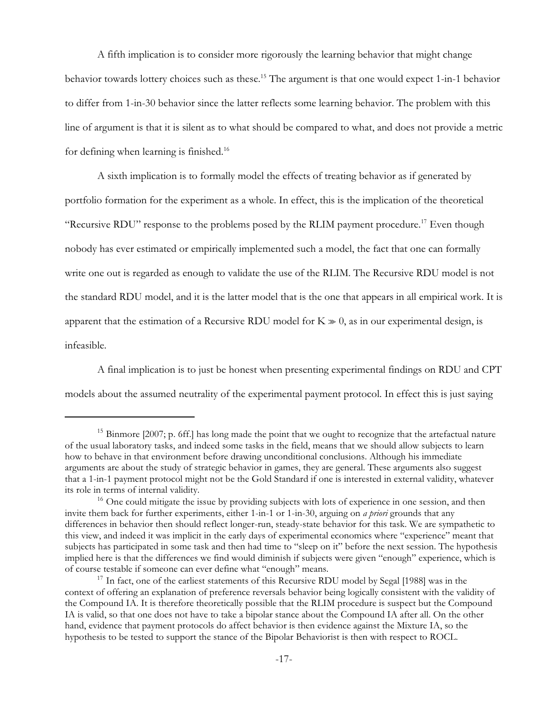A fifth implication is to consider more rigorously the learning behavior that might change behavior towards lottery choices such as these.<sup>15</sup> The argument is that one would expect 1-in-1 behavior to differ from 1-in-30 behavior since the latter reflects some learning behavior. The problem with this line of argument is that it is silent as to what should be compared to what, and does not provide a metric for defining when learning is finished.<sup>16</sup>

A sixth implication is to formally model the effects of treating behavior as if generated by portfolio formation for the experiment as a whole. In effect, this is the implication of the theoretical "Recursive RDU" response to the problems posed by the RLIM payment procedure.<sup>17</sup> Even though nobody has ever estimated or empirically implemented such a model, the fact that one can formally write one out is regarded as enough to validate the use of the RLIM. The Recursive RDU model is not the standard RDU model, and it is the latter model that is the one that appears in all empirical work. It is apparent that the estimation of a Recursive RDU model for  $K \gg 0$ , as in our experimental design, is infeasible.

A final implication is to just be honest when presenting experimental findings on RDU and CPT models about the assumed neutrality of the experimental payment protocol. In effect this is just saying

 $^{15}$  Binmore [2007; p. 6ff.] has long made the point that we ought to recognize that the artefactual nature of the usual laboratory tasks, and indeed some tasks in the field, means that we should allow subjects to learn how to behave in that environment before drawing unconditional conclusions. Although his immediate arguments are about the study of strategic behavior in games, they are general. These arguments also suggest that a 1-in-1 payment protocol might not be the Gold Standard if one is interested in external validity, whatever its role in terms of internal validity.

<sup>&</sup>lt;sup>16</sup> One could mitigate the issue by providing subjects with lots of experience in one session, and then invite them back for further experiments, either 1-in-1 or 1-in-30, arguing on *a priori* grounds that any differences in behavior then should reflect longer-run, steady-state behavior for this task. We are sympathetic to this view, and indeed it was implicit in the early days of experimental economics where "experience" meant that subjects has participated in some task and then had time to "sleep on it" before the next session. The hypothesis implied here is that the differences we find would diminish if subjects were given "enough" experience, which is of course testable if someone can ever define what "enough" means.

 $17$  In fact, one of the earliest statements of this Recursive RDU model by Segal [1988] was in the context of offering an explanation of preference reversals behavior being logically consistent with the validity of the Compound IA. It is therefore theoretically possible that the RLIM procedure is suspect but the Compound IA is valid, so that one does not have to take a bipolar stance about the Compound IA after all. On the other hand, evidence that payment protocols do affect behavior is then evidence against the Mixture IA, so the hypothesis to be tested to support the stance of the Bipolar Behaviorist is then with respect to ROCL.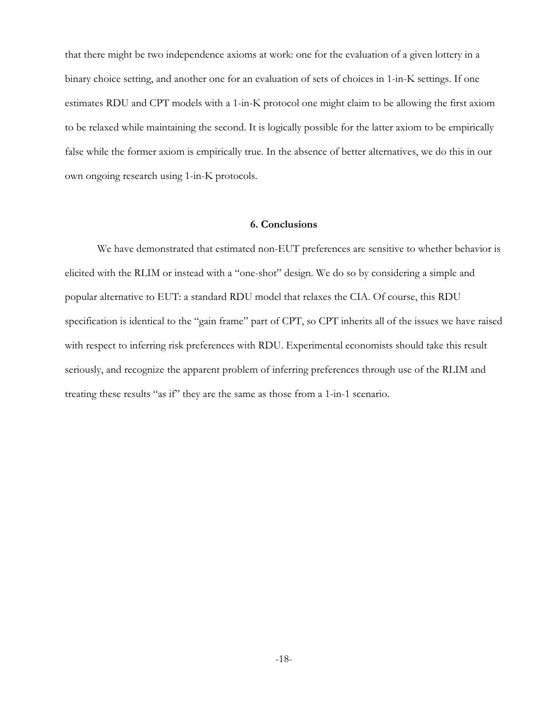that there might be two independence axioms at work: one for the evaluation of a given lottery in a binary choice setting, and another one for an evaluation of sets of choices in 1-in-K settings. If one estimates RDU and CPT models with a 1-in-K protocol one might claim to be allowing the first axiom to be relaxed while maintaining the second. It is logically possible for the latter axiom to be empirically false while the former axiom is empirically true. In the absence of better alternatives, we do this in our own ongoing research using 1-in-K protocols.

### **6. Conclusions**

We have demonstrated that estimated non-EUT preferences are sensitive to whether behavior is elicited with the RLIM or instead with a "one-shot" design. We do so by considering a simple and popular alternative to EUT: a standard RDU model that relaxes the CIA. Of course, this RDU specification is identical to the "gain frame" part of CPT, so CPT inherits all of the issues we have raised with respect to inferring risk preferences with RDU. Experimental economists should take this result seriously, and recognize the apparent problem of inferring preferences through use of the RLIM and treating these results "as if" they are the same as those from a 1-in-1 scenario.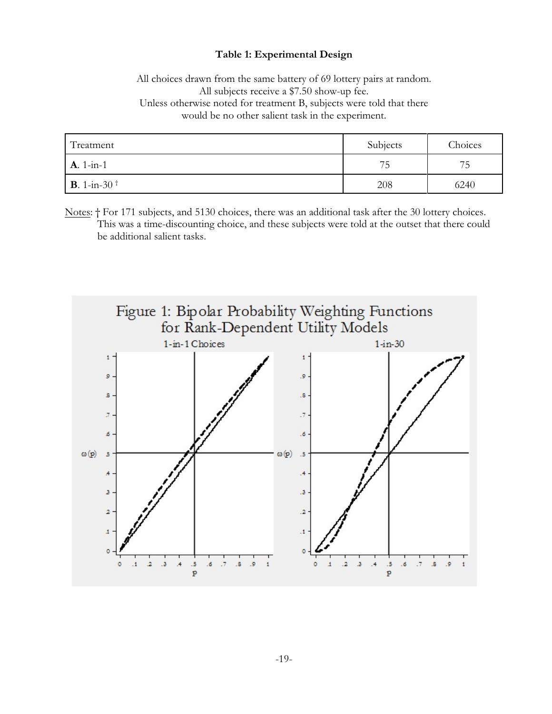## **Table 1: Experimental Design**

All choices drawn from the same battery of 69 lottery pairs at random. All subjects receive a \$7.50 show-up fee. Unless otherwise noted for treatment B, subjects were told that there would be no other salient task in the experiment.

| Treatment                      | Subjects | Choices |
|--------------------------------|----------|---------|
| $A. 1-in-1$                    | 75<br>້  | 75      |
| <b>B.</b> 1-in-30 $^{\dagger}$ | 208      | 6240    |

Notes: † For 171 subjects, and 5130 choices, there was an additional task after the 30 lottery choices. This was a time-discounting choice, and these subjects were told at the outset that there could be additional salient tasks.

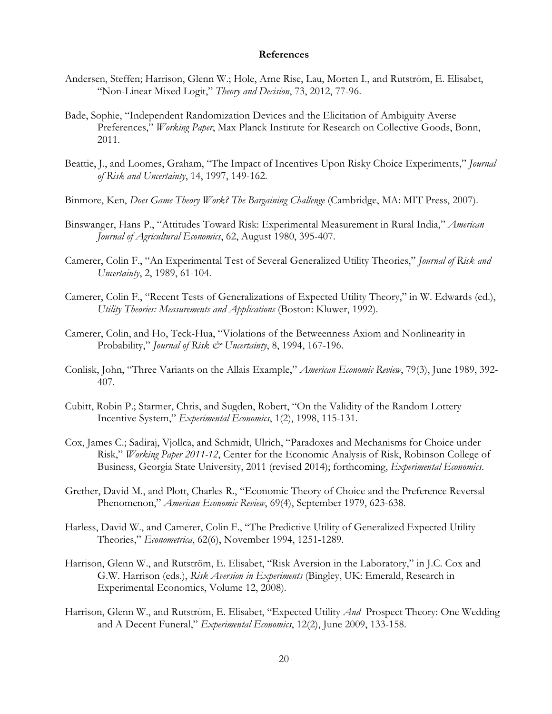### **References**

- Andersen, Steffen; Harrison, Glenn W.; Hole, Arne Rise, Lau, Morten I., and Rutström, E. Elisabet, "Non-Linear Mixed Logit," *Theory and Decision*, 73, 2012, 77-96.
- Bade, Sophie, "Independent Randomization Devices and the Elicitation of Ambiguity Averse Preferences," *Working Paper*, Max Planck Institute for Research on Collective Goods, Bonn, 2011.
- Beattie, J., and Loomes, Graham, "The Impact of Incentives Upon Risky Choice Experiments," *Journal of Risk and Uncertainty*, 14, 1997, 149-162.
- Binmore, Ken, *Does Game Theory Work? The Bargaining Challenge* (Cambridge, MA: MIT Press, 2007).
- Binswanger, Hans P., "Attitudes Toward Risk: Experimental Measurement in Rural India," *American Journal of Agricultural Economics*, 62, August 1980, 395-407.
- Camerer, Colin F., "An Experimental Test of Several Generalized Utility Theories," *Journal of Risk and Uncertainty*, 2, 1989, 61-104.
- Camerer, Colin F., "Recent Tests of Generalizations of Expected Utility Theory," in W. Edwards (ed.), *Utility Theories: Measurements and Applications* (Boston: Kluwer, 1992).
- Camerer, Colin, and Ho, Teck-Hua, "Violations of the Betweenness Axiom and Nonlinearity in Probability," *Journal of Risk & Uncertainty*, 8, 1994, 167-196.
- Conlisk, John, "Three Variants on the Allais Example," *American Economic Review*, 79(3), June 1989, 392- 407.
- Cubitt, Robin P.; Starmer, Chris, and Sugden, Robert, "On the Validity of the Random Lottery Incentive System," *Experimental Economics*, 1(2), 1998, 115-131.
- Cox, James C.; Sadiraj, Vjollca, and Schmidt, Ulrich, "Paradoxes and Mechanisms for Choice under Risk," *Working Paper 2011-12*, Center for the Economic Analysis of Risk, Robinson College of Business, Georgia State University, 2011 (revised 2014); forthcoming, *Experimental Economics*.
- Grether, David M., and Plott, Charles R., "Economic Theory of Choice and the Preference Reversal Phenomenon," *American Economic Review*, 69(4), September 1979, 623-638.
- Harless, David W., and Camerer, Colin F., "The Predictive Utility of Generalized Expected Utility Theories," *Econometrica*, 62(6), November 1994, 1251-1289.
- Harrison, Glenn W., and Rutström, E. Elisabet, "Risk Aversion in the Laboratory," in J.C. Cox and G.W. Harrison (eds.), *Risk Aversion in Experiments* (Bingley, UK: Emerald, Research in Experimental Economics, Volume 12, 2008).
- Harrison, Glenn W., and Rutström, E. Elisabet, "Expected Utility *And* Prospect Theory: One Wedding and A Decent Funeral," *Experimental Economics*, 12(2), June 2009, 133-158.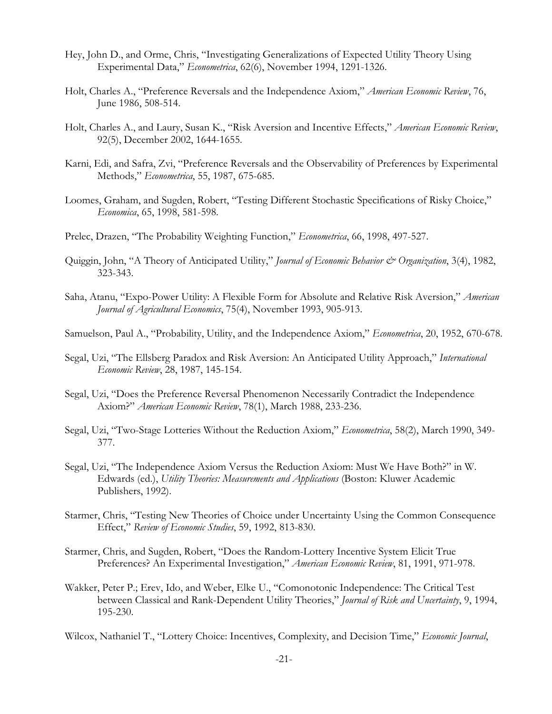- Hey, John D., and Orme, Chris, "Investigating Generalizations of Expected Utility Theory Using Experimental Data," *Econometrica*, 62(6), November 1994, 1291-1326.
- Holt, Charles A., "Preference Reversals and the Independence Axiom," *American Economic Review*, 76, June 1986, 508-514.
- Holt, Charles A., and Laury, Susan K., "Risk Aversion and Incentive Effects," *American Economic Review*, 92(5), December 2002, 1644-1655.
- Karni, Edi, and Safra, Zvi, "Preference Reversals and the Observability of Preferences by Experimental Methods," *Econometrica*, 55, 1987, 675-685.
- Loomes, Graham, and Sugden, Robert, "Testing Different Stochastic Specifications of Risky Choice," *Economica*, 65, 1998, 581-598.
- Prelec, Drazen, "The Probability Weighting Function," *Econometrica*, 66, 1998, 497-527.
- Quiggin, John, "A Theory of Anticipated Utility," *Journal of Economic Behavior & Organization*, 3(4), 1982, 323-343.
- Saha, Atanu, "Expo-Power Utility: A Flexible Form for Absolute and Relative Risk Aversion," *American Journal of Agricultural Economics*, 75(4), November 1993, 905-913.
- Samuelson, Paul A., "Probability, Utility, and the Independence Axiom," *Econometrica*, 20, 1952, 670-678.
- Segal, Uzi, "The Ellsberg Paradox and Risk Aversion: An Anticipated Utility Approach," *International Economic Review*, 28, 1987, 145-154.
- Segal, Uzi, "Does the Preference Reversal Phenomenon Necessarily Contradict the Independence Axiom?" *American Economic Review*, 78(1), March 1988, 233-236.
- Segal, Uzi, "Two-Stage Lotteries Without the Reduction Axiom," *Econometrica*, 58(2), March 1990, 349- 377.
- Segal, Uzi, "The Independence Axiom Versus the Reduction Axiom: Must We Have Both?" in W. Edwards (ed.), *Utility Theories: Measurements and Applications* (Boston: Kluwer Academic Publishers, 1992).
- Starmer, Chris, "Testing New Theories of Choice under Uncertainty Using the Common Consequence Effect," *Review of Economic Studies*, 59, 1992, 813-830.
- Starmer, Chris, and Sugden, Robert, "Does the Random-Lottery Incentive System Elicit True Preferences? An Experimental Investigation," *American Economic Review*, 81, 1991, 971-978.
- Wakker, Peter P.; Erev, Ido, and Weber, Elke U., "Comonotonic Independence: The Critical Test between Classical and Rank-Dependent Utility Theories," *Journal of Risk and Uncertainty*, 9, 1994, 195-230.

Wilcox, Nathaniel T., "Lottery Choice: Incentives, Complexity, and Decision Time," *Economic Journal*,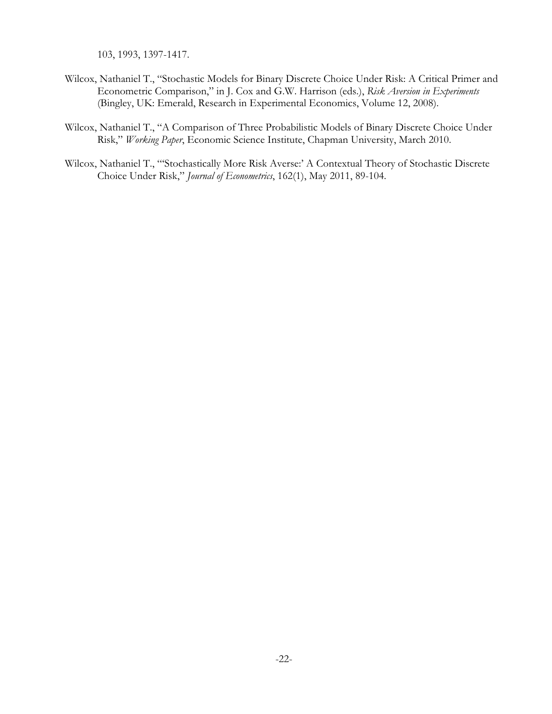103, 1993, 1397-1417.

- Wilcox, Nathaniel T., "Stochastic Models for Binary Discrete Choice Under Risk: A Critical Primer and Econometric Comparison," in J. Cox and G.W. Harrison (eds.), *Risk Aversion in Experiments* (Bingley, UK: Emerald, Research in Experimental Economics, Volume 12, 2008).
- Wilcox, Nathaniel T., "A Comparison of Three Probabilistic Models of Binary Discrete Choice Under Risk," *Working Paper*, Economic Science Institute, Chapman University, March 2010.
- Wilcox, Nathaniel T., "'Stochastically More Risk Averse:' A Contextual Theory of Stochastic Discrete Choice Under Risk," *Journal of Econometrics*, 162(1), May 2011, 89-104.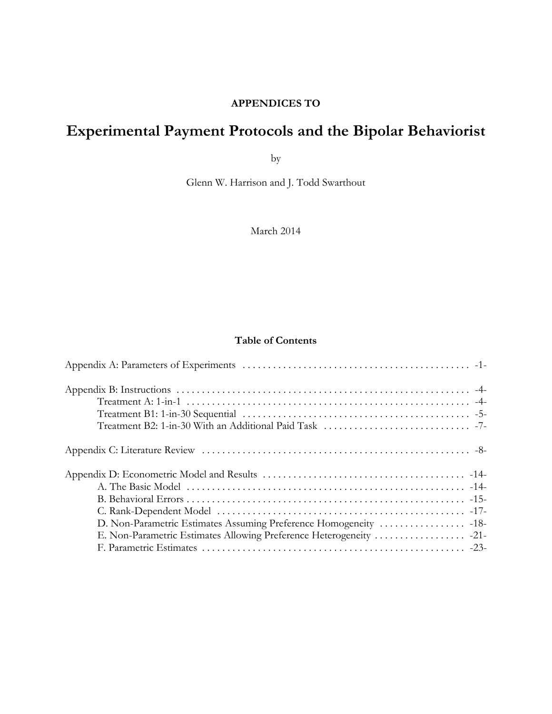# **APPENDICES TO**

# **Experimental Payment Protocols and the Bipolar Behaviorist**

by

Glenn W. Harrison and J. Todd Swarthout

March 2014

# **Table of Contents**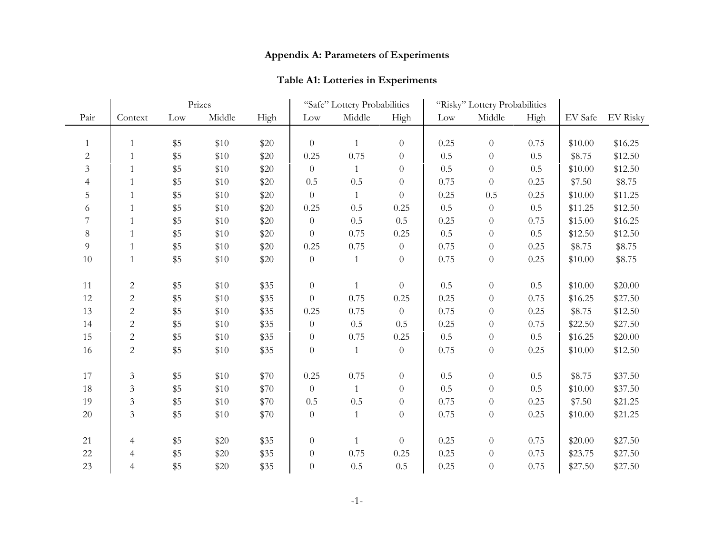# **Appendix A: Parameters of Experiments**

# **Table A1: Lotteries in Experiments**

|                |                             |     | Prizes |      | "Safe" Lottery Probabilities |              |                  | "Risky" Lottery Probabilities |                  |      |         |          |
|----------------|-----------------------------|-----|--------|------|------------------------------|--------------|------------------|-------------------------------|------------------|------|---------|----------|
| Pair           | Context                     | Low | Middle | High | Low                          | Middle       | High             | Low                           | Middle           | High | EV Safe | EV Risky |
|                |                             |     |        |      |                              |              |                  |                               |                  |      |         |          |
| $\mathbf{1}$   | $\mathbf{1}$                | \$5 | \$10   | \$20 | $\overline{0}$               | $\mathbf{1}$ | $\overline{0}$   | 0.25                          | $\theta$         | 0.75 | \$10.00 | \$16.25  |
| $\sqrt{2}$     | $\mathbf{1}$                | \$5 | \$10   | \$20 | 0.25                         | 0.75         | $\overline{0}$   | 0.5                           | $\boldsymbol{0}$ | 0.5  | \$8.75  | \$12.50  |
| 3              | 1                           | \$5 | \$10   | \$20 | $\theta$                     | $\mathbf{1}$ | $\overline{0}$   | 0.5                           | $\overline{0}$   | 0.5  | \$10.00 | \$12.50  |
| $\overline{4}$ | $\mathbf{1}$                | \$5 | \$10   | \$20 | 0.5                          | 0.5          | $\overline{0}$   | 0.75                          | $\boldsymbol{0}$ | 0.25 | \$7.50  | \$8.75   |
| 5              | 1                           | \$5 | \$10   | \$20 | $\overline{0}$               | $\mathbf{1}$ | $\overline{0}$   | 0.25                          | 0.5              | 0.25 | \$10.00 | \$11.25  |
| 6              | $\mathbf{1}$                | \$5 | \$10   | \$20 | 0.25                         | 0.5          | 0.25             | 0.5                           | $\theta$         | 0.5  | \$11.25 | \$12.50  |
| 7              | $\mathbf{1}$                | \$5 | \$10   | \$20 | $\theta$                     | 0.5          | 0.5              | 0.25                          | $\overline{0}$   | 0.75 | \$15.00 | \$16.25  |
| $8\,$          | $\mathbf{1}$                | \$5 | \$10   | \$20 | $\overline{0}$               | 0.75         | 0.25             | 0.5                           | $\boldsymbol{0}$ | 0.5  | \$12.50 | \$12.50  |
| 9              | $\mathbf{1}$                | \$5 | \$10   | \$20 | 0.25                         | 0.75         | $\theta$         | 0.75                          | $\boldsymbol{0}$ | 0.25 | \$8.75  | \$8.75   |
| $10\,$         | $\mathbf{1}$                | \$5 | \$10   | \$20 | $\overline{0}$               | $\mathbf{1}$ | $\overline{0}$   | 0.75                          | $\boldsymbol{0}$ | 0.25 | \$10.00 | \$8.75   |
|                |                             |     |        |      |                              |              |                  |                               |                  |      |         |          |
| 11             | $\mathbf{2}$                | \$5 | \$10   | \$35 | $\boldsymbol{0}$             | $\mathbf{1}$ | $\overline{0}$   | 0.5                           | $\theta$         | 0.5  | \$10.00 | \$20.00  |
| 12             | $\overline{c}$              | \$5 | \$10   | \$35 | $\overline{0}$               | 0.75         | 0.25             | 0.25                          | $\overline{0}$   | 0.75 | \$16.25 | \$27.50  |
| 13             | $\mathbf{2}$                | \$5 | \$10   | \$35 | 0.25                         | 0.75         | $\overline{0}$   | 0.75                          | $\overline{0}$   | 0.25 | \$8.75  | \$12.50  |
| 14             | $\mathbf{2}$                | \$5 | \$10   | \$35 | $\theta$                     | 0.5          | 0.5              | 0.25                          | $\boldsymbol{0}$ | 0.75 | \$22.50 | \$27.50  |
| 15             | $\overline{c}$              | \$5 | \$10   | \$35 | $\overline{0}$               | 0.75         | 0.25             | 0.5                           | $\boldsymbol{0}$ | 0.5  | \$16.25 | \$20.00  |
| 16             | $\mathbf{2}$                | \$5 | \$10   | \$35 | $\boldsymbol{0}$             | $\mathbf{1}$ | $\boldsymbol{0}$ | 0.75                          | $\boldsymbol{0}$ | 0.25 | \$10.00 | \$12.50  |
|                |                             |     |        |      |                              |              |                  |                               |                  |      |         |          |
| 17             | $\mathfrak{Z}$              | \$5 | \$10   | \$70 | 0.25                         | 0.75         | $\overline{0}$   | 0.5                           | $\boldsymbol{0}$ | 0.5  | \$8.75  | \$37.50  |
| 18             | $\mathfrak{Z}$              | \$5 | \$10   | \$70 | $\theta$                     | $\mathbf{1}$ | $\overline{0}$   | 0.5                           | $\boldsymbol{0}$ | 0.5  | \$10.00 | \$37.50  |
| 19             | $\ensuremath{\mathfrak{Z}}$ | \$5 | \$10   | \$70 | 0.5                          | 0.5          | $\overline{0}$   | 0.75                          | $\boldsymbol{0}$ | 0.25 | \$7.50  | \$21.25  |
| 20             | 3                           | \$5 | \$10   | \$70 | $\theta$                     | $\mathbf{1}$ | $\overline{0}$   | 0.75                          | $\theta$         | 0.25 | \$10.00 | \$21.25  |
|                |                             |     |        |      |                              |              |                  |                               |                  |      |         |          |
| 21             | $\overline{4}$              | \$5 | \$20   | \$35 | $\theta$                     | 1            | $\overline{0}$   | 0.25                          | $\theta$         | 0.75 | \$20.00 | \$27.50  |
| $22\,$         | $\overline{4}$              | \$5 | \$20   | \$35 | $\theta$                     | 0.75         | 0.25             | 0.25                          | $\overline{0}$   | 0.75 | \$23.75 | \$27.50  |
| 23             | $\overline{4}$              | \$5 | \$20   | \$35 | $\theta$                     | 0.5          | 0.5              | 0.25                          | $\boldsymbol{0}$ | 0.75 | \$27.50 | \$27.50  |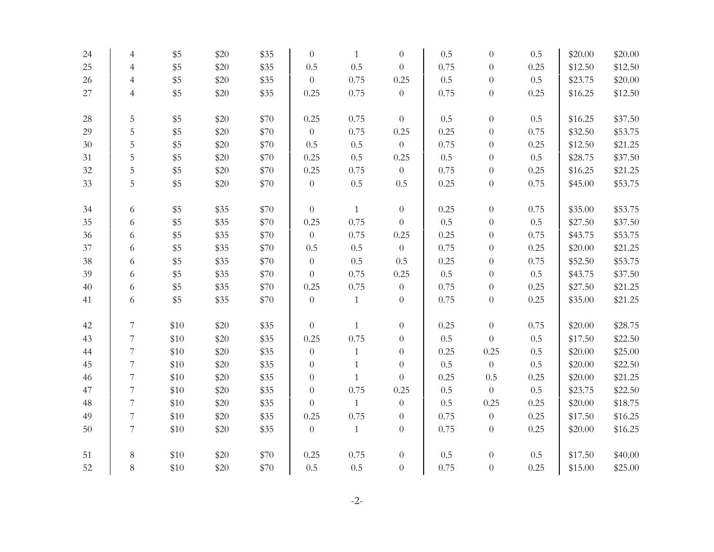| 24 | 4              | \$5  | \$20 | \$35 | $\theta$         | 1            | $\theta$         | 0.5     | $\theta$         | 0.5     | \$20.00 | \$20.00 |
|----|----------------|------|------|------|------------------|--------------|------------------|---------|------------------|---------|---------|---------|
| 25 | 4              | \$5  | \$20 | \$35 | 0.5              | 0.5          | $\theta$         | 0.75    | $\overline{0}$   | 0.25    | \$12.50 | \$12.50 |
| 26 | $\overline{4}$ | \$5  | \$20 | \$35 | $\theta$         | 0.75         | 0.25             | 0.5     | $\theta$         | 0.5     | \$23.75 | \$20.00 |
| 27 | $\overline{4}$ | \$5  | \$20 | \$35 | 0.25             | 0.75         | $\theta$         | 0.75    | $\overline{0}$   | 0.25    | \$16.25 | \$12.50 |
|    |                |      |      |      |                  |              |                  |         |                  |         |         |         |
| 28 | 5              | \$5  | \$20 | \$70 | 0.25             | 0.75         | $\boldsymbol{0}$ | $0.5\,$ | $\theta$         | 0.5     | \$16.25 | \$37.50 |
| 29 | 5              | \$5  | \$20 | \$70 | $\boldsymbol{0}$ | 0.75         | 0.25             | 0.25    | $\theta$         | 0.75    | \$32.50 | \$53.75 |
| 30 | 5              | \$5  | \$20 | \$70 | 0.5              | $0.5\,$      | $\theta$         | 0.75    | $\overline{0}$   | 0.25    | \$12.50 | \$21.25 |
| 31 | 5              | \$5  | \$20 | \$70 | 0.25             | 0.5          | 0.25             | 0.5     | $\theta$         | 0.5     | \$28.75 | \$37.50 |
| 32 | 5              | \$5  | \$20 | \$70 | 0.25             | 0.75         | $\theta$         | 0.75    | $\theta$         | 0.25    | \$16.25 | \$21.25 |
| 33 | 5              | \$5  | \$20 | \$70 | $\boldsymbol{0}$ | 0.5          | 0.5              | 0.25    | $\theta$         | 0.75    | \$45.00 | \$53.75 |
|    |                |      |      |      |                  |              |                  |         |                  |         |         |         |
| 34 | 6              | \$5  | \$35 | \$70 | $\theta$         | $\mathbf{1}$ | $\theta$         | 0.25    | $\theta$         | 0.75    | \$35.00 | \$53.75 |
| 35 | 6              | \$5  | \$35 | \$70 | 0.25             | 0.75         | $\theta$         | 0.5     | $\boldsymbol{0}$ | 0.5     | \$27.50 | \$37.50 |
| 36 | 6              | \$5  | \$35 | \$70 | $\theta$         | 0.75         | 0.25             | 0.25    | $\boldsymbol{0}$ | 0.75    | \$43.75 | \$53.75 |
| 37 | 6              | \$5  | \$35 | \$70 | 0.5              | $0.5\,$      | $\theta$         | 0.75    | $\overline{0}$   | 0.25    | \$20.00 | \$21.25 |
| 38 | 6              | \$5  | \$35 | \$70 | $\theta$         | $0.5\,$      | 0.5              | 0.25    | $\overline{0}$   | 0.75    | \$52.50 | \$53.75 |
| 39 | 6              | \$5  | \$35 | \$70 | $\overline{0}$   | 0.75         | 0.25             | $0.5\,$ | $\overline{0}$   | 0.5     | \$43.75 | \$37.50 |
| 40 | 6              | \$5  | \$35 | \$70 | 0.25             | 0.75         | $\overline{0}$   | 0.75    | $\theta$         | 0.25    | \$27.50 | \$21.25 |
| 41 | 6              | \$5  | \$35 | \$70 | $\boldsymbol{0}$ | $\mathbf{1}$ | $\theta$         | 0.75    | $\overline{0}$   | 0.25    | \$35.00 | \$21.25 |
|    |                |      |      |      |                  |              |                  |         |                  |         |         |         |
| 42 | $\overline{7}$ | \$10 | \$20 | \$35 | $\theta$         | $\mathbf{1}$ | $\overline{0}$   | 0.25    | $\theta$         | 0.75    | \$20.00 | \$28.75 |
| 43 | $\overline{7}$ | \$10 | \$20 | \$35 | 0.25             | 0.75         | $\overline{0}$   | 0.5     | $\theta$         | 0.5     | \$17.50 | \$22.50 |
| 44 | $\overline{7}$ | \$10 | \$20 | \$35 | $\overline{0}$   | $\mathbf{1}$ | $\overline{0}$   | 0.25    | 0.25             | $0.5\,$ | \$20.00 | \$25.00 |
| 45 | $\overline{7}$ | \$10 | \$20 | \$35 | $\overline{0}$   | $\mathbf{1}$ | $\Omega$         | 0.5     | $\theta$         | 0.5     | \$20.00 | \$22.50 |
| 46 | $\overline{7}$ | \$10 | \$20 | \$35 | $\theta$         | $\mathbf{1}$ | $\theta$         | 0.25    | 0.5              | 0.25    | \$20.00 | \$21.25 |
| 47 | $\overline{7}$ | \$10 | \$20 | \$35 | $\theta$         | 0.75         | 0.25             | 0.5     | $\theta$         | 0.5     | \$23.75 | \$22.50 |
| 48 | $\overline{7}$ | \$10 | \$20 | \$35 | $\theta$         | $\mathbf{1}$ | $\boldsymbol{0}$ | 0.5     | 0.25             | 0.25    | \$20.00 | \$18.75 |
| 49 | $\overline{7}$ | \$10 | \$20 | \$35 | 0.25             | 0.75         | $\overline{0}$   | 0.75    | $\theta$         | 0.25    | \$17.50 | \$16.25 |
| 50 | $\overline{7}$ | \$10 | \$20 | \$35 | $\theta$         | $\mathbf{1}$ | $\overline{0}$   | 0.75    | $\theta$         | 0.25    | \$20.00 | \$16.25 |
|    |                |      |      |      |                  |              |                  |         |                  |         |         |         |
| 51 | $8\,$          | \$10 | \$20 | \$70 | 0.25             | 0.75         | $\overline{0}$   | 0.5     | $\theta$         | 0.5     | \$17.50 | \$40.00 |
| 52 | $8\,$          | \$10 | \$20 | \$70 | 0.5              | 0.5          | $\overline{0}$   | 0.75    | $\theta$         | 0.25    | \$15.00 | \$25.00 |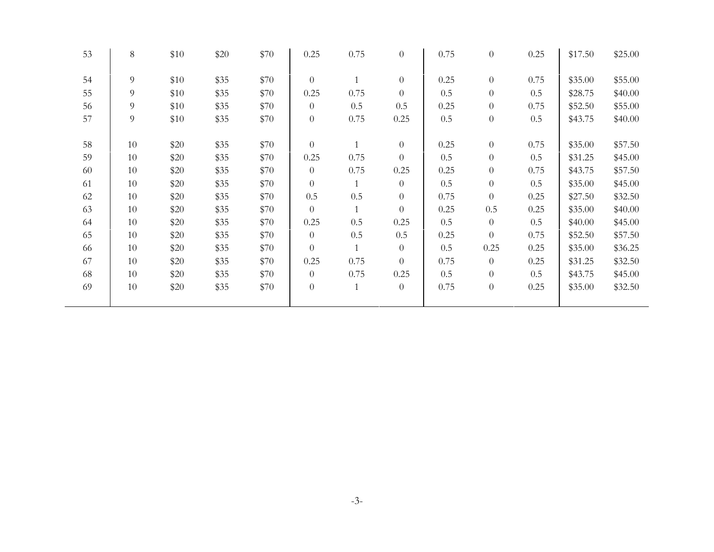| 53 | $8\,$  | \$10 | \$20 | \$70 | 0.25           | 0.75         | $\theta$         | 0.75 | $\boldsymbol{0}$ | 0.25    | \$17.50 | \$25.00 |
|----|--------|------|------|------|----------------|--------------|------------------|------|------------------|---------|---------|---------|
|    |        |      |      |      |                |              |                  |      |                  |         |         |         |
| 54 | 9      | \$10 | \$35 | \$70 | $\overline{0}$ | $\mathbf{1}$ | $\boldsymbol{0}$ | 0.25 | $\boldsymbol{0}$ | 0.75    | \$35.00 | \$55.00 |
| 55 | 9      | \$10 | \$35 | \$70 | 0.25           | 0.75         | $\boldsymbol{0}$ | 0.5  | $\boldsymbol{0}$ | 0.5     | \$28.75 | \$40.00 |
| 56 | 9      | \$10 | \$35 | \$70 | $\overline{0}$ | 0.5          | 0.5              | 0.25 | $\overline{0}$   | 0.75    | \$52.50 | \$55.00 |
| 57 | 9      | \$10 | \$35 | \$70 | $\overline{0}$ | 0.75         | 0.25             | 0.5  | $\boldsymbol{0}$ | $0.5\,$ | \$43.75 | \$40.00 |
|    |        |      |      |      |                |              |                  |      |                  |         |         |         |
| 58 | 10     | \$20 | \$35 | \$70 | $\overline{0}$ | $\mathbf{1}$ | $\boldsymbol{0}$ | 0.25 | $\boldsymbol{0}$ | 0.75    | \$35.00 | \$57.50 |
| 59 | 10     | \$20 | \$35 | \$70 | 0.25           | 0.75         | $\boldsymbol{0}$ | 0.5  | $\boldsymbol{0}$ | 0.5     | \$31.25 | \$45.00 |
| 60 | 10     | \$20 | \$35 | \$70 | $\overline{0}$ | 0.75         | 0.25             | 0.25 | $\boldsymbol{0}$ | 0.75    | \$43.75 | \$57.50 |
| 61 | 10     | \$20 | \$35 | \$70 | $\overline{0}$ | $\mathbf{1}$ | $\boldsymbol{0}$ | 0.5  | $\boldsymbol{0}$ | $0.5\,$ | \$35.00 | \$45.00 |
| 62 | 10     | \$20 | \$35 | \$70 | 0.5            | 0.5          | $\boldsymbol{0}$ | 0.75 | $\boldsymbol{0}$ | 0.25    | \$27.50 | \$32.50 |
| 63 | 10     | \$20 | \$35 | \$70 | $\overline{0}$ | 1            | $\theta$         | 0.25 | 0.5              | 0.25    | \$35.00 | \$40.00 |
| 64 | 10     | \$20 | \$35 | \$70 | 0.25           | 0.5          | 0.25             | 0.5  | $\boldsymbol{0}$ | 0.5     | \$40.00 | \$45.00 |
| 65 | 10     | \$20 | \$35 | \$70 | $\theta$       | 0.5          | 0.5              | 0.25 | $\boldsymbol{0}$ | 0.75    | \$52.50 | \$57.50 |
| 66 | $10\,$ | \$20 | \$35 | \$70 | $\overline{0}$ | $\mathbf{1}$ | $\boldsymbol{0}$ | 0.5  | 0.25             | 0.25    | \$35.00 | \$36.25 |
| 67 | 10     | \$20 | \$35 | \$70 | 0.25           | 0.75         | $\theta$         | 0.75 | $\overline{0}$   | 0.25    | \$31.25 | \$32.50 |
| 68 | 10     | \$20 | \$35 | \$70 | $\theta$       | 0.75         | 0.25             | 0.5  | $\overline{0}$   | 0.5     | \$43.75 | \$45.00 |
| 69 | 10     | \$20 | \$35 | \$70 | $\overline{0}$ | $\mathbf{1}$ | $\boldsymbol{0}$ | 0.75 | $\boldsymbol{0}$ | 0.25    | \$35.00 | \$32.50 |
|    |        |      |      |      |                |              |                  |      |                  |         |         |         |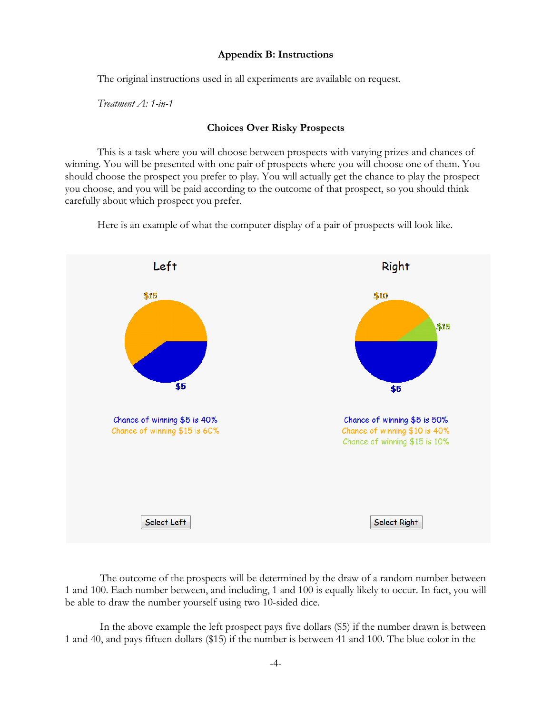# **Appendix B: Instructions**

The original instructions used in all experiments are available on request.

*Treatment A: 1-in-1*

### **Choices Over Risky Prospects**

This is a task where you will choose between prospects with varying prizes and chances of winning. You will be presented with one pair of prospects where you will choose one of them. You should choose the prospect you prefer to play. You will actually get the chance to play the prospect you choose, and you will be paid according to the outcome of that prospect, so you should think carefully about which prospect you prefer.

Here is an example of what the computer display of a pair of prospects will look like.



 The outcome of the prospects will be determined by the draw of a random number between 1 and 100. Each number between, and including, 1 and 100 is equally likely to occur. In fact, you will be able to draw the number yourself using two 10-sided dice.

 In the above example the left prospect pays five dollars (\$5) if the number drawn is between 1 and 40, and pays fifteen dollars (\$15) if the number is between 41 and 100. The blue color in the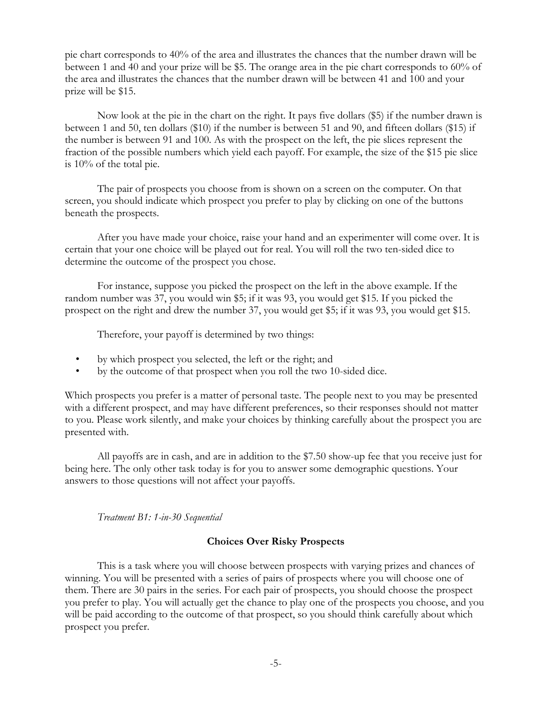pie chart corresponds to 40% of the area and illustrates the chances that the number drawn will be between 1 and 40 and your prize will be \$5. The orange area in the pie chart corresponds to 60% of the area and illustrates the chances that the number drawn will be between 41 and 100 and your prize will be \$15.

Now look at the pie in the chart on the right. It pays five dollars (\$5) if the number drawn is between 1 and 50, ten dollars (\$10) if the number is between 51 and 90, and fifteen dollars (\$15) if the number is between 91 and 100. As with the prospect on the left, the pie slices represent the fraction of the possible numbers which yield each payoff. For example, the size of the \$15 pie slice is 10% of the total pie.

The pair of prospects you choose from is shown on a screen on the computer. On that screen, you should indicate which prospect you prefer to play by clicking on one of the buttons beneath the prospects.

After you have made your choice, raise your hand and an experimenter will come over. It is certain that your one choice will be played out for real. You will roll the two ten-sided dice to determine the outcome of the prospect you chose.

For instance, suppose you picked the prospect on the left in the above example. If the random number was 37, you would win \$5; if it was 93, you would get \$15. If you picked the prospect on the right and drew the number 37, you would get \$5; if it was 93, you would get \$15.

Therefore, your payoff is determined by two things:

- by which prospect you selected, the left or the right; and
- by the outcome of that prospect when you roll the two 10-sided dice.

Which prospects you prefer is a matter of personal taste. The people next to you may be presented with a different prospect, and may have different preferences, so their responses should not matter to you. Please work silently, and make your choices by thinking carefully about the prospect you are presented with.

All payoffs are in cash, and are in addition to the \$7.50 show-up fee that you receive just for being here. The only other task today is for you to answer some demographic questions. Your answers to those questions will not affect your payoffs.

*Treatment B1: 1-in-30 Sequential*

### **Choices Over Risky Prospects**

This is a task where you will choose between prospects with varying prizes and chances of winning. You will be presented with a series of pairs of prospects where you will choose one of them. There are 30 pairs in the series. For each pair of prospects, you should choose the prospect you prefer to play. You will actually get the chance to play one of the prospects you choose, and you will be paid according to the outcome of that prospect, so you should think carefully about which prospect you prefer.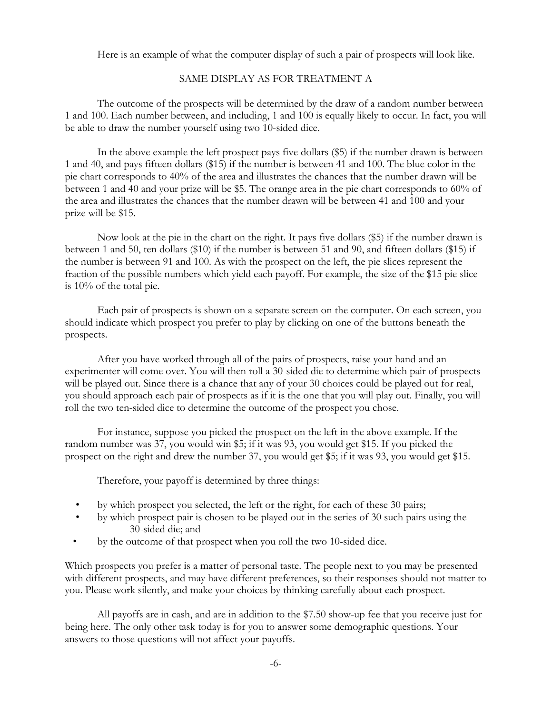Here is an example of what the computer display of such a pair of prospects will look like.

### SAME DISPLAY AS FOR TREATMENT A

The outcome of the prospects will be determined by the draw of a random number between 1 and 100. Each number between, and including, 1 and 100 is equally likely to occur. In fact, you will be able to draw the number yourself using two 10-sided dice.

In the above example the left prospect pays five dollars (\$5) if the number drawn is between 1 and 40, and pays fifteen dollars (\$15) if the number is between 41 and 100. The blue color in the pie chart corresponds to 40% of the area and illustrates the chances that the number drawn will be between 1 and 40 and your prize will be \$5. The orange area in the pie chart corresponds to 60% of the area and illustrates the chances that the number drawn will be between 41 and 100 and your prize will be \$15.

Now look at the pie in the chart on the right. It pays five dollars (\$5) if the number drawn is between 1 and 50, ten dollars (\$10) if the number is between 51 and 90, and fifteen dollars (\$15) if the number is between 91 and 100. As with the prospect on the left, the pie slices represent the fraction of the possible numbers which yield each payoff. For example, the size of the \$15 pie slice is 10% of the total pie.

Each pair of prospects is shown on a separate screen on the computer. On each screen, you should indicate which prospect you prefer to play by clicking on one of the buttons beneath the prospects.

After you have worked through all of the pairs of prospects, raise your hand and an experimenter will come over. You will then roll a 30-sided die to determine which pair of prospects will be played out. Since there is a chance that any of your 30 choices could be played out for real, you should approach each pair of prospects as if it is the one that you will play out. Finally, you will roll the two ten-sided dice to determine the outcome of the prospect you chose.

For instance, suppose you picked the prospect on the left in the above example. If the random number was 37, you would win \$5; if it was 93, you would get \$15. If you picked the prospect on the right and drew the number 37, you would get \$5; if it was 93, you would get \$15.

Therefore, your payoff is determined by three things:

- by which prospect you selected, the left or the right, for each of these 30 pairs;
- by which prospect pair is chosen to be played out in the series of 30 such pairs using the 30-sided die; and
- by the outcome of that prospect when you roll the two 10-sided dice.

Which prospects you prefer is a matter of personal taste. The people next to you may be presented with different prospects, and may have different preferences, so their responses should not matter to you. Please work silently, and make your choices by thinking carefully about each prospect.

All payoffs are in cash, and are in addition to the \$7.50 show-up fee that you receive just for being here. The only other task today is for you to answer some demographic questions. Your answers to those questions will not affect your payoffs.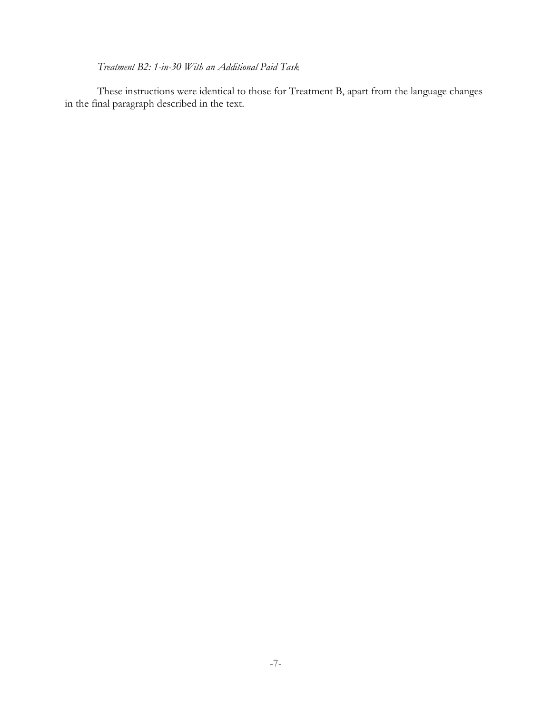# *Treatment B2: 1-in-30 With an Additional Paid Task*

These instructions were identical to those for Treatment B, apart from the language changes in the final paragraph described in the text.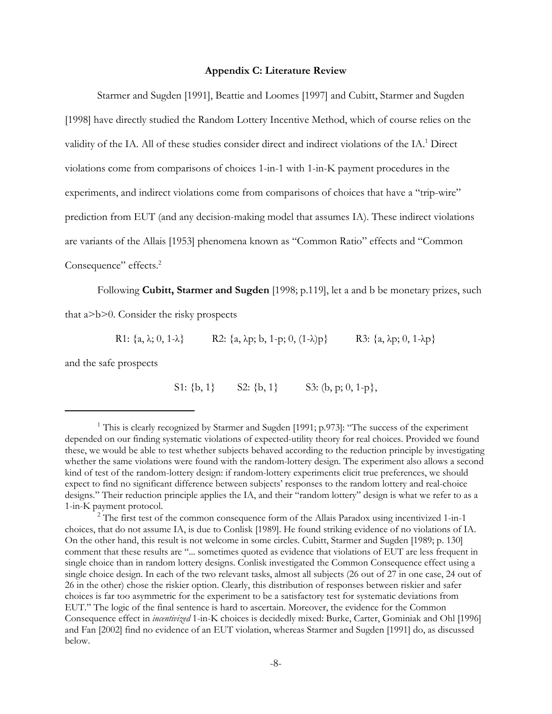### **Appendix C: Literature Review**

Starmer and Sugden [1991], Beattie and Loomes [1997] and Cubitt, Starmer and Sugden [1998] have directly studied the Random Lottery Incentive Method, which of course relies on the validity of the IA. All of these studies consider direct and indirect violations of the IA.<sup>1</sup> Direct violations come from comparisons of choices 1-in-1 with 1-in-K payment procedures in the experiments, and indirect violations come from comparisons of choices that have a "trip-wire" prediction from EUT (and any decision-making model that assumes IA). These indirect violations are variants of the Allais [1953] phenomena known as "Common Ratio" effects and "Common Consequence" effects.<sup>2</sup>

Following **Cubitt, Starmer and Sugden** [1998; p.119], let a and b be monetary prizes, such that a>b>0. Consider the risky prospects

R1: {a,  $\lambda$ ; 0, 1- $\lambda$ } R2: {a,  $\lambda$ p; b, 1-p; 0, (1- $\lambda$ )p} R3: {a,  $\lambda$ p; 0, 1- $\lambda$ p} and the safe prospects

S1:  ${b, 1}$  S2:  ${b, 1}$  S3:  ${b, p; 0, 1-p}$ ,

<sup>&</sup>lt;sup>1</sup> This is clearly recognized by Starmer and Sugden [1991; p.973]: "The success of the experiment depended on our finding systematic violations of expected-utility theory for real choices. Provided we found these, we would be able to test whether subjects behaved according to the reduction principle by investigating whether the same violations were found with the random-lottery design. The experiment also allows a second kind of test of the random-lottery design: if random-lottery experiments elicit true preferences, we should expect to find no significant difference between subjects' responses to the random lottery and real-choice designs." Their reduction principle applies the IA, and their "random lottery" design is what we refer to as a 1-in-K payment protocol.

 $2$ <sup>2</sup> The first test of the common consequence form of the Allais Paradox using incentivized 1-in-1 choices, that do not assume IA, is due to Conlisk [1989]. He found striking evidence of no violations of IA. On the other hand, this result is not welcome in some circles. Cubitt, Starmer and Sugden [1989; p. 130] comment that these results are "... sometimes quoted as evidence that violations of EUT are less frequent in single choice than in random lottery designs. Conlisk investigated the Common Consequence effect using a single choice design. In each of the two relevant tasks, almost all subjects (26 out of 27 in one case, 24 out of 26 in the other) chose the riskier option. Clearly, this distribution of responses between riskier and safer choices is far too asymmetric for the experiment to be a satisfactory test for systematic deviations from EUT." The logic of the final sentence is hard to ascertain. Moreover, the evidence for the Common Consequence effect in *incentivized* 1-in-K choices is decidedly mixed: Burke, Carter, Gominiak and Ohl [1996] and Fan [2002] find no evidence of an EUT violation, whereas Starmer and Sugden [1991] do, as discussed below.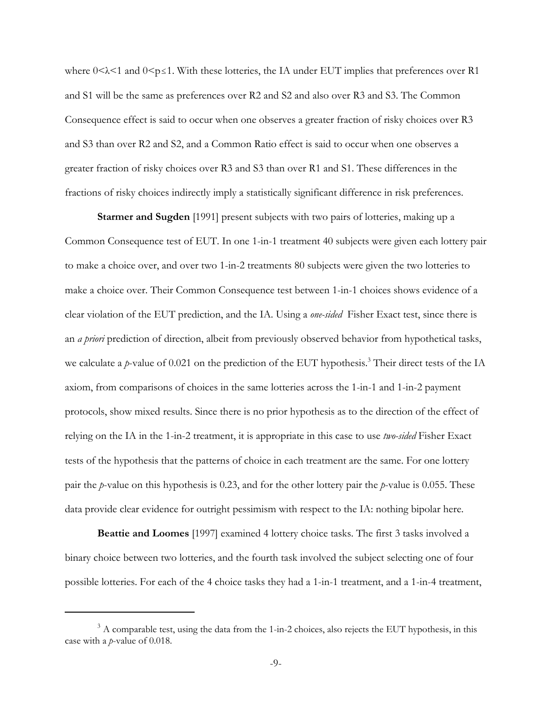where  $0 \le \lambda \le 1$  and  $0 \le p \le 1$ . With these lotteries, the IA under EUT implies that preferences over R1 and S1 will be the same as preferences over R2 and S2 and also over R3 and S3. The Common Consequence effect is said to occur when one observes a greater fraction of risky choices over R3 and S3 than over R2 and S2, and a Common Ratio effect is said to occur when one observes a greater fraction of risky choices over R3 and S3 than over R1 and S1. These differences in the fractions of risky choices indirectly imply a statistically significant difference in risk preferences.

**Starmer and Sugden** [1991] present subjects with two pairs of lotteries, making up a Common Consequence test of EUT. In one 1-in-1 treatment 40 subjects were given each lottery pair to make a choice over, and over two 1-in-2 treatments 80 subjects were given the two lotteries to make a choice over. Their Common Consequence test between 1-in-1 choices shows evidence of a clear violation of the EUT prediction, and the IA. Using a *one-sided* Fisher Exact test, since there is an *a priori* prediction of direction, albeit from previously observed behavior from hypothetical tasks, we calculate a *p*-value of 0.021 on the prediction of the EUT hypothesis.<sup>3</sup> Their direct tests of the IA axiom, from comparisons of choices in the same lotteries across the 1-in-1 and 1-in-2 payment protocols, show mixed results. Since there is no prior hypothesis as to the direction of the effect of relying on the IA in the 1-in-2 treatment, it is appropriate in this case to use *two-sided* Fisher Exact tests of the hypothesis that the patterns of choice in each treatment are the same. For one lottery pair the *p*-value on this hypothesis is 0.23, and for the other lottery pair the *p*-value is 0.055. These data provide clear evidence for outright pessimism with respect to the IA: nothing bipolar here.

**Beattie and Loomes** [1997] examined 4 lottery choice tasks. The first 3 tasks involved a binary choice between two lotteries, and the fourth task involved the subject selecting one of four possible lotteries. For each of the 4 choice tasks they had a 1-in-1 treatment, and a 1-in-4 treatment,

 $3$  A comparable test, using the data from the 1-in-2 choices, also rejects the EUT hypothesis, in this case with a *p*-value of 0.018.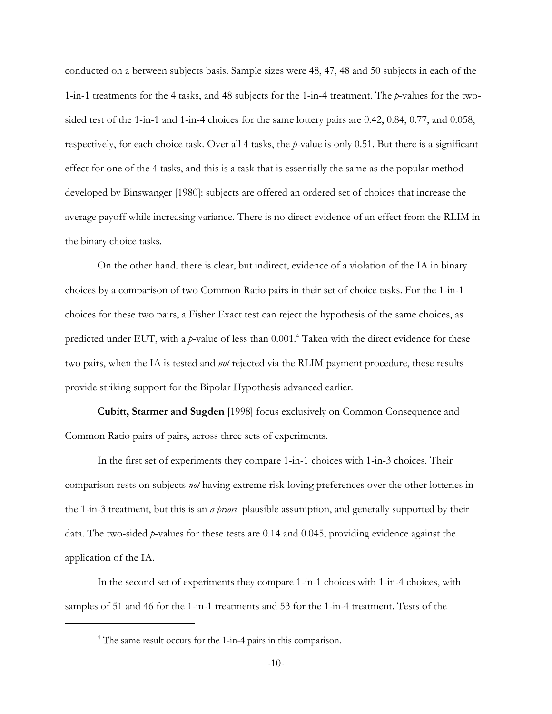conducted on a between subjects basis. Sample sizes were 48, 47, 48 and 50 subjects in each of the 1-in-1 treatments for the 4 tasks, and 48 subjects for the 1-in-4 treatment. The *p*-values for the twosided test of the 1-in-1 and 1-in-4 choices for the same lottery pairs are 0.42, 0.84, 0.77, and 0.058, respectively, for each choice task. Over all 4 tasks, the *p*-value is only 0.51. But there is a significant effect for one of the 4 tasks, and this is a task that is essentially the same as the popular method developed by Binswanger [1980]: subjects are offered an ordered set of choices that increase the average payoff while increasing variance. There is no direct evidence of an effect from the RLIM in the binary choice tasks.

On the other hand, there is clear, but indirect, evidence of a violation of the IA in binary choices by a comparison of two Common Ratio pairs in their set of choice tasks. For the 1-in-1 choices for these two pairs, a Fisher Exact test can reject the hypothesis of the same choices, as predicted under EUT, with a *p*-value of less than 0.001.<sup>4</sup> Taken with the direct evidence for these two pairs, when the IA is tested and *not* rejected via the RLIM payment procedure, these results provide striking support for the Bipolar Hypothesis advanced earlier.

**Cubitt, Starmer and Sugden** [1998] focus exclusively on Common Consequence and Common Ratio pairs of pairs, across three sets of experiments.

In the first set of experiments they compare 1-in-1 choices with 1-in-3 choices. Their comparison rests on subjects *not* having extreme risk-loving preferences over the other lotteries in the 1-in-3 treatment, but this is an *a priori* plausible assumption, and generally supported by their data. The two-sided *p*-values for these tests are 0.14 and 0.045, providing evidence against the application of the IA.

In the second set of experiments they compare 1-in-1 choices with 1-in-4 choices, with samples of 51 and 46 for the 1-in-1 treatments and 53 for the 1-in-4 treatment. Tests of the

<sup>4</sup> The same result occurs for the 1-in-4 pairs in this comparison.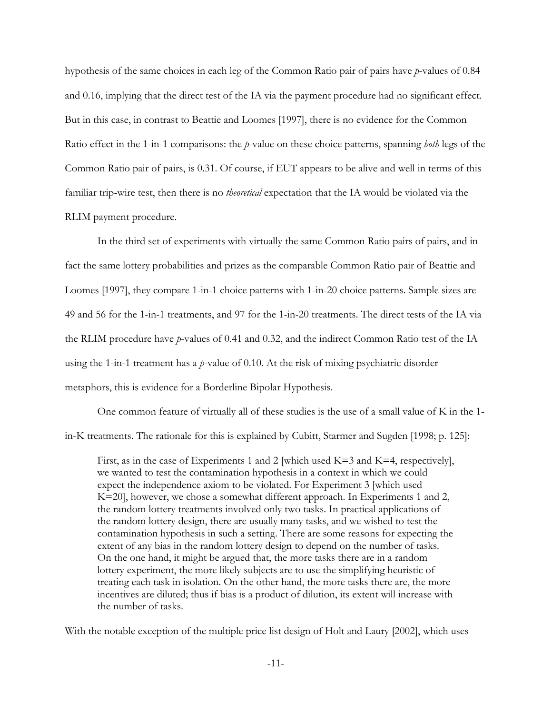hypothesis of the same choices in each leg of the Common Ratio pair of pairs have *p*-values of 0.84 and 0.16, implying that the direct test of the IA via the payment procedure had no significant effect. But in this case, in contrast to Beattie and Loomes [1997], there is no evidence for the Common Ratio effect in the 1-in-1 comparisons: the *p*-value on these choice patterns, spanning *both* legs of the Common Ratio pair of pairs, is 0.31. Of course, if EUT appears to be alive and well in terms of this familiar trip-wire test, then there is no *theoretical* expectation that the IA would be violated via the RLIM payment procedure.

In the third set of experiments with virtually the same Common Ratio pairs of pairs, and in fact the same lottery probabilities and prizes as the comparable Common Ratio pair of Beattie and Loomes [1997], they compare 1-in-1 choice patterns with 1-in-20 choice patterns. Sample sizes are 49 and 56 for the 1-in-1 treatments, and 97 for the 1-in-20 treatments. The direct tests of the IA via the RLIM procedure have *p*-values of 0.41 and 0.32, and the indirect Common Ratio test of the IA using the 1-in-1 treatment has a *p*-value of 0.10. At the risk of mixing psychiatric disorder metaphors, this is evidence for a Borderline Bipolar Hypothesis.

One common feature of virtually all of these studies is the use of a small value of K in the 1 in-K treatments. The rationale for this is explained by Cubitt, Starmer and Sugden [1998; p. 125]:

First, as in the case of Experiments 1 and 2 [which used  $K=3$  and  $K=4$ , respectively], we wanted to test the contamination hypothesis in a context in which we could expect the independence axiom to be violated. For Experiment 3 [which used K=20], however, we chose a somewhat different approach. In Experiments 1 and 2, the random lottery treatments involved only two tasks. In practical applications of the random lottery design, there are usually many tasks, and we wished to test the contamination hypothesis in such a setting. There are some reasons for expecting the extent of any bias in the random lottery design to depend on the number of tasks. On the one hand, it might be argued that, the more tasks there are in a random lottery experiment, the more likely subjects are to use the simplifying heuristic of treating each task in isolation. On the other hand, the more tasks there are, the more incentives are diluted; thus if bias is a product of dilution, its extent will increase with the number of tasks.

With the notable exception of the multiple price list design of Holt and Laury [2002], which uses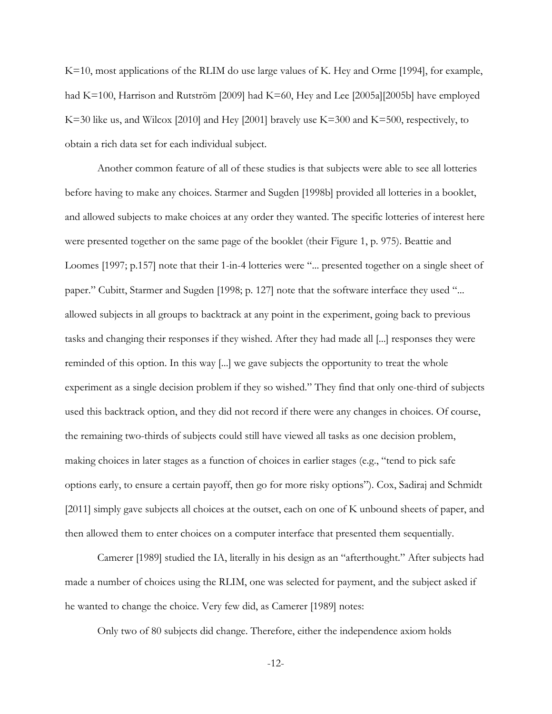K=10, most applications of the RLIM do use large values of K. Hey and Orme [1994], for example, had K=100, Harrison and Rutström [2009] had K=60, Hey and Lee [2005a][2005b] have employed K=30 like us, and Wilcox [2010] and Hey [2001] bravely use K=300 and K=500, respectively, to obtain a rich data set for each individual subject.

Another common feature of all of these studies is that subjects were able to see all lotteries before having to make any choices. Starmer and Sugden [1998b] provided all lotteries in a booklet, and allowed subjects to make choices at any order they wanted. The specific lotteries of interest here were presented together on the same page of the booklet (their Figure 1, p. 975). Beattie and Loomes [1997; p.157] note that their 1-in-4 lotteries were "... presented together on a single sheet of paper." Cubitt, Starmer and Sugden [1998; p. 127] note that the software interface they used "... allowed subjects in all groups to backtrack at any point in the experiment, going back to previous tasks and changing their responses if they wished. After they had made all [...] responses they were reminded of this option. In this way [...] we gave subjects the opportunity to treat the whole experiment as a single decision problem if they so wished." They find that only one-third of subjects used this backtrack option, and they did not record if there were any changes in choices. Of course, the remaining two-thirds of subjects could still have viewed all tasks as one decision problem, making choices in later stages as a function of choices in earlier stages (e.g., "tend to pick safe options early, to ensure a certain payoff, then go for more risky options"). Cox, Sadiraj and Schmidt [2011] simply gave subjects all choices at the outset, each on one of K unbound sheets of paper, and then allowed them to enter choices on a computer interface that presented them sequentially.

Camerer [1989] studied the IA, literally in his design as an "afterthought." After subjects had made a number of choices using the RLIM, one was selected for payment, and the subject asked if he wanted to change the choice. Very few did, as Camerer [1989] notes:

Only two of 80 subjects did change. Therefore, either the independence axiom holds

-12-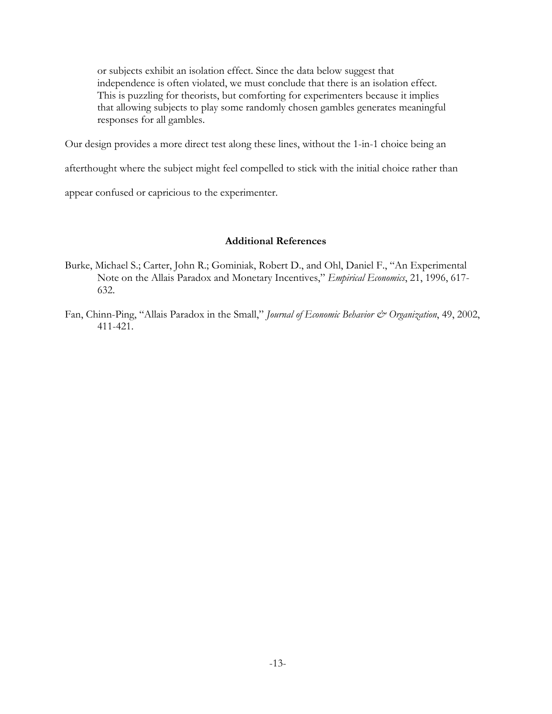or subjects exhibit an isolation effect. Since the data below suggest that independence is often violated, we must conclude that there is an isolation effect. This is puzzling for theorists, but comforting for experimenters because it implies that allowing subjects to play some randomly chosen gambles generates meaningful responses for all gambles.

Our design provides a more direct test along these lines, without the 1-in-1 choice being an

afterthought where the subject might feel compelled to stick with the initial choice rather than

appear confused or capricious to the experimenter.

## **Additional References**

- Burke, Michael S.; Carter, John R.; Gominiak, Robert D., and Ohl, Daniel F., "An Experimental Note on the Allais Paradox and Monetary Incentives," *Empirical Economics*, 21, 1996, 617- 632.
- Fan, Chinn-Ping, "Allais Paradox in the Small," *Journal of Economic Behavior & Organization*, 49, 2002, 411-421.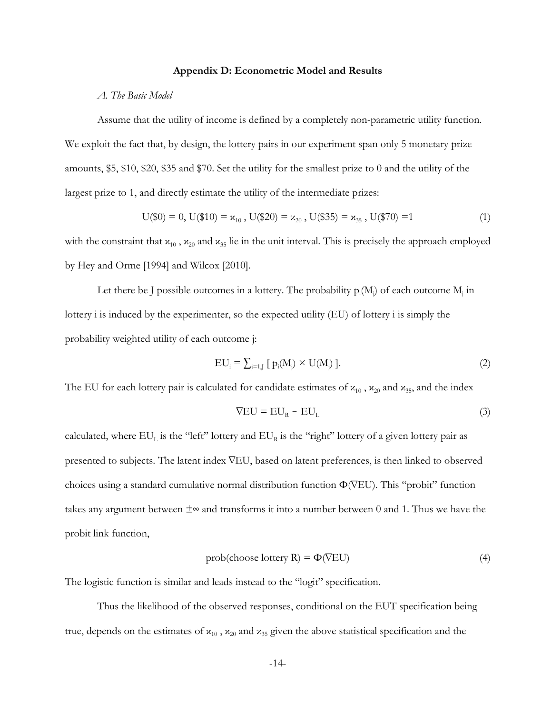### **Appendix D: Econometric Model and Results**

### *A. The Basic Model*

Assume that the utility of income is defined by a completely non-parametric utility function. We exploit the fact that, by design, the lottery pairs in our experiment span only 5 monetary prize amounts, \$5, \$10, \$20, \$35 and \$70. Set the utility for the smallest prize to 0 and the utility of the largest prize to 1, and directly estimate the utility of the intermediate prizes:

$$
U(\$0) = 0, U(\$10) = \kappa_{10}, U(\$20) = \kappa_{20}, U(\$35) = \kappa_{35}, U(\$70) = 1
$$
 (1)

with the constraint that  $x_{10}$ ,  $x_{20}$  and  $x_{35}$  lie in the unit interval. This is precisely the approach employed by Hey and Orme [1994] and Wilcox [2010].

Let there be J possible outcomes in a lottery. The probability  $p_i(M)$  of each outcome  $M$  in lottery i is induced by the experimenter, so the expected utility (EU) of lottery i is simply the probability weighted utility of each outcome j:

$$
EU_i = \sum_{j=1,j} [p_i(M_j) \times U(M_j)]. \tag{2}
$$

The EU for each lottery pair is calculated for candidate estimates of  $x_{10}$ ,  $x_{20}$  and  $x_{35}$ , and the index

$$
\nabla \mathbf{E} \mathbf{U} = \mathbf{E} \mathbf{U}_{\mathbf{R}} - \mathbf{E} \mathbf{U}_{\mathbf{L}} \tag{3}
$$

calculated, where  $EU_L$  is the "left" lottery and  $EU_R$  is the "right" lottery of a given lottery pair as presented to subjects. The latent index VEU, based on latent preferences, is then linked to observed choices using a standard cumulative normal distribution function  $\Phi$ (VEU). This "probit" function takes any argument between  $\pm\infty$  and transforms it into a number between 0 and 1. Thus we have the probit link function,

$$
prob(choose lottery R) = \Phi(\nabla EU)
$$
 (4)

The logistic function is similar and leads instead to the "logit" specification.

Thus the likelihood of the observed responses, conditional on the EUT specification being true, depends on the estimates of  $x_{10}$ ,  $x_{20}$  and  $x_{35}$  given the above statistical specification and the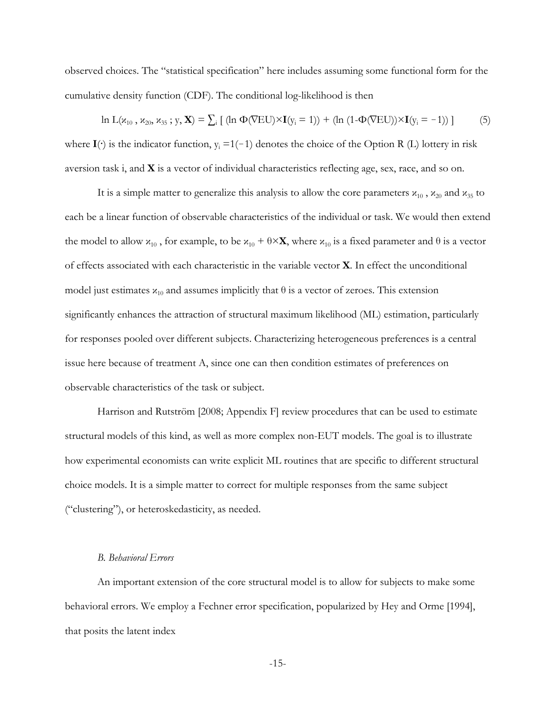observed choices. The "statistical specification" here includes assuming some functional form for the cumulative density function (CDF). The conditional log-likelihood is then

$$
\ln L(\mathbf{x}_{10}, \mathbf{x}_{20}, \mathbf{x}_{35}; \mathbf{y}, \mathbf{X}) = \sum_{i} \left[ (\ln \Phi(\nabla EU) \times \mathbf{I}(\mathbf{y}_{i} = 1)) + (\ln (1 - \Phi(\nabla EU)) \times \mathbf{I}(\mathbf{y}_{i} = -1)) \right] \tag{5}
$$

where  $I(\cdot)$  is the indicator function,  $y_i = 1(-1)$  denotes the choice of the Option R (L) lottery in risk aversion task i, and **X** is a vector of individual characteristics reflecting age, sex, race, and so on.

It is a simple matter to generalize this analysis to allow the core parameters  $x_{10}$ ,  $x_{20}$  and  $x_{35}$  to each be a linear function of observable characteristics of the individual or task. We would then extend the model to allow  $x_{10}$ , for example, to be  $x_{10} + \theta \times \mathbf{X}$ , where  $x_{10}$  is a fixed parameter and  $\theta$  is a vector of effects associated with each characteristic in the variable vector **X**. In effect the unconditional model just estimates  $x_{10}$  and assumes implicitly that  $\theta$  is a vector of zeroes. This extension significantly enhances the attraction of structural maximum likelihood (ML) estimation, particularly for responses pooled over different subjects. Characterizing heterogeneous preferences is a central issue here because of treatment A, since one can then condition estimates of preferences on observable characteristics of the task or subject.

Harrison and Rutström [2008; Appendix F] review procedures that can be used to estimate structural models of this kind, as well as more complex non-EUT models. The goal is to illustrate how experimental economists can write explicit ML routines that are specific to different structural choice models. It is a simple matter to correct for multiple responses from the same subject ("clustering"), or heteroskedasticity, as needed.

### *B. Behavioral Errors*

An important extension of the core structural model is to allow for subjects to make some behavioral errors. We employ a Fechner error specification, popularized by Hey and Orme [1994], that posits the latent index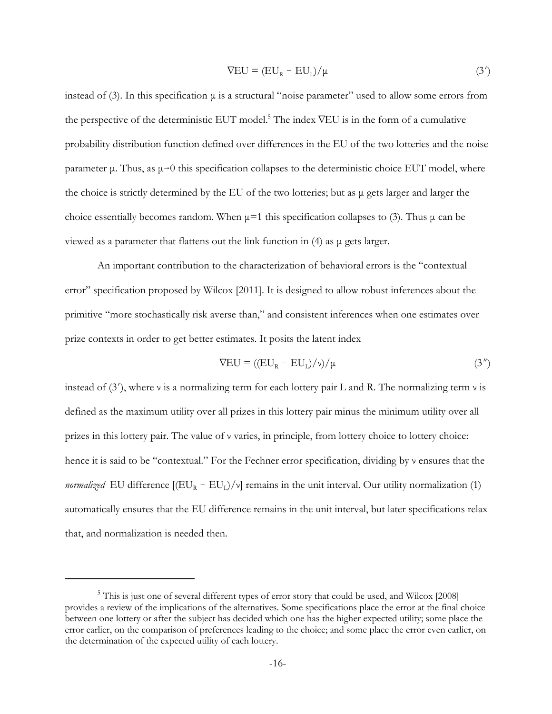$$
\nabla EU = (EU_R - EU_L) / \mu \tag{3'}
$$

instead of (3). In this specification μ is a structural "noise parameter" used to allow some errors from the perspective of the deterministic EUT model.<sup>5</sup> The index VEU is in the form of a cumulative probability distribution function defined over differences in the EU of the two lotteries and the noise parameter μ. Thus, as  $μ→0$  this specification collapses to the deterministic choice EUT model, where the choice is strictly determined by the EU of the two lotteries; but as μ gets larger and larger the choice essentially becomes random. When  $\mu$ =1 this specification collapses to (3). Thus  $\mu$  can be viewed as a parameter that flattens out the link function in (4) as μ gets larger.

An important contribution to the characterization of behavioral errors is the "contextual error" specification proposed by Wilcox [2011]. It is designed to allow robust inferences about the primitive "more stochastically risk averse than," and consistent inferences when one estimates over prize contexts in order to get better estimates. It posits the latent index

$$
\nabla EU = ((EU_R - EU_L)/\nu)/\mu \tag{3''}
$$

instead of (3'), where *v* is a normalizing term for each lottery pair L and R. The normalizing term *v* is defined as the maximum utility over all prizes in this lottery pair minus the minimum utility over all prizes in this lottery pair. The value of ν varies, in principle, from lottery choice to lottery choice: hence it is said to be "contextual." For the Fechner error specification, dividing by ν ensures that the *normalized* EU difference  $[(EU_R - EU_L)/v]$  remains in the unit interval. Our utility normalization (1) automatically ensures that the EU difference remains in the unit interval, but later specifications relax that, and normalization is needed then.

<sup>&</sup>lt;sup>5</sup> This is just one of several different types of error story that could be used, and Wilcox [2008] provides a review of the implications of the alternatives. Some specifications place the error at the final choice between one lottery or after the subject has decided which one has the higher expected utility; some place the error earlier, on the comparison of preferences leading to the choice; and some place the error even earlier, on the determination of the expected utility of each lottery.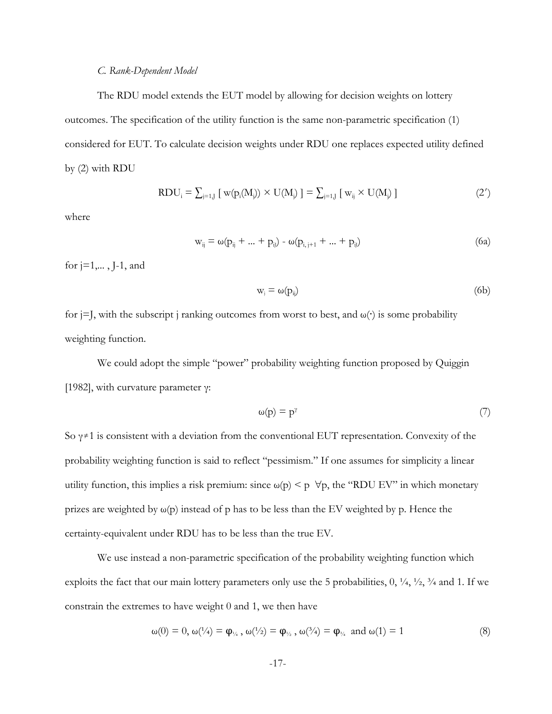### *C. Rank-Dependent Model*

The RDU model extends the EUT model by allowing for decision weights on lottery outcomes. The specification of the utility function is the same non-parametric specification (1) considered for EUT. To calculate decision weights under RDU one replaces expected utility defined by (2) with RDU

$$
RDU_i = \sum_{j=1,J} [ w(p_i(M_j)) \times U(M_j) ] = \sum_{j=1,J} [ w_{ij} \times U(M_j) ]
$$
 (2')

where

$$
w_{ij} = \omega(p_{ij} + ... + p_{ij}) - \omega(p_{i,j+1} + ... + p_{ij})
$$
\n(6a)

for  $j=1,..., J-1$ , and

$$
w_j = \omega(p_{ij}) \tag{6b}
$$

for j=J, with the subscript j ranking outcomes from worst to best, and  $\omega(\cdot)$  is some probability weighting function.

We could adopt the simple "power" probability weighting function proposed by Quiggin [1982], with curvature parameter γ:

$$
\omega(p) = p^{\gamma} \tag{7}
$$

So  $\gamma \neq 1$  is consistent with a deviation from the conventional EUT representation. Convexity of the probability weighting function is said to reflect "pessimism." If one assumes for simplicity a linear utility function, this implies a risk premium: since  $\omega(p) \leq p \forall p$ , the "RDU EV" in which monetary prizes are weighted by  $\omega(p)$  instead of p has to be less than the EV weighted by p. Hence the certainty-equivalent under RDU has to be less than the true EV.

We use instead a non-parametric specification of the probability weighting function which exploits the fact that our main lottery parameters only use the 5 probabilities,  $0, \frac{1}{4}, \frac{1}{2}, \frac{3}{4}$  and 1. If we constrain the extremes to have weight 0 and 1, we then have

$$
\omega(0) = 0, \, \omega(1/4) = \varphi_{1/4}, \, \omega(1/2) = \varphi_{1/2}, \, \omega(3/4) = \varphi_{3/4} \, \text{ and } \omega(1) = 1 \tag{8}
$$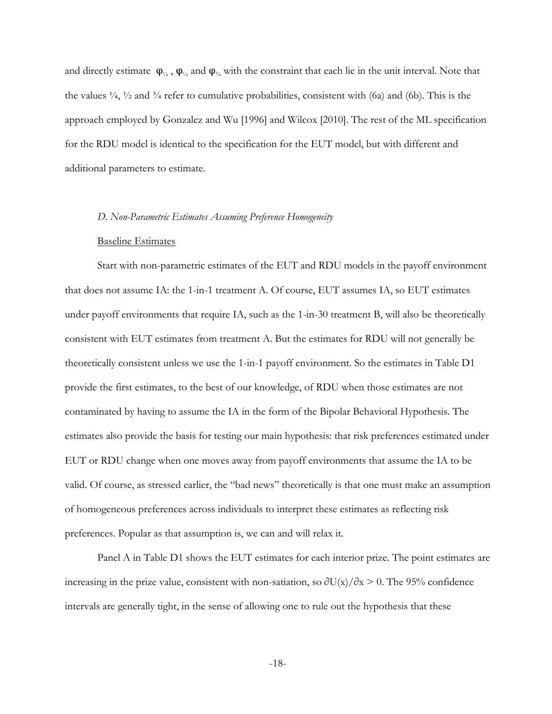and directly estimate  $\varphi_{\frac{1}{4}}$ ,  $\varphi_{\frac{1}{4}}$  and  $\varphi_{\frac{1}{4}}$  with the constraint that each lie in the unit interval. Note that the values  $\frac{1}{4}$ ,  $\frac{1}{2}$  and  $\frac{3}{4}$  refer to cumulative probabilities, consistent with (6a) and (6b). This is the approach employed by Gonzalez and Wu [1996] and Wilcox [2010]. The rest of the ML specification for the RDU model is identical to the specification for the EUT model, but with different and additional parameters to estimate.

### *D. Non-Parametric Estimates Assuming Preference Homogeneity*

#### Baseline Estimates

Start with non-parametric estimates of the EUT and RDU models in the payoff environment that does not assume IA: the 1-in-1 treatment A. Of course, EUT assumes IA, so EUT estimates under payoff environments that require IA, such as the 1-in-30 treatment B, will also be theoretically consistent with EUT estimates from treatment A. But the estimates for RDU will not generally be theoretically consistent unless we use the 1-in-1 payoff environment. So the estimates in Table D1 provide the first estimates, to the best of our knowledge, of RDU when those estimates are not contaminated by having to assume the IA in the form of the Bipolar Behavioral Hypothesis. The estimates also provide the basis for testing our main hypothesis: that risk preferences estimated under EUT or RDU change when one moves away from payoff environments that assume the IA to be valid. Of course, as stressed earlier, the "bad news" theoretically is that one must make an assumption of homogeneous preferences across individuals to interpret these estimates as reflecting risk preferences. Popular as that assumption is, we can and will relax it.

Panel A in Table D1 shows the EUT estimates for each interior prize. The point estimates are increasing in the prize value, consistent with non-satiation, so  $\partial U(x)/\partial x > 0$ . The 95% confidence intervals are generally tight, in the sense of allowing one to rule out the hypothesis that these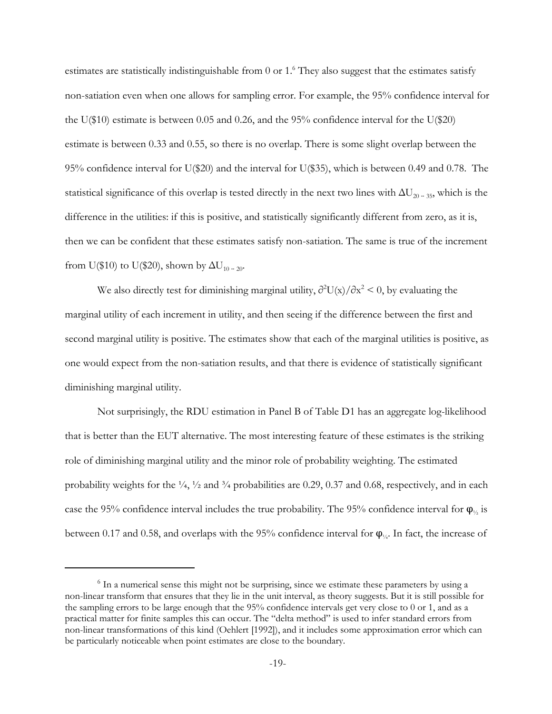estimates are statistically indistinguishable from  $0$  or  $1<sup>6</sup>$  They also suggest that the estimates satisfy non-satiation even when one allows for sampling error. For example, the 95% confidence interval for the U(\$10) estimate is between 0.05 and 0.26, and the 95% confidence interval for the U(\$20) estimate is between 0.33 and 0.55, so there is no overlap. There is some slight overlap between the 95% confidence interval for U(\$20) and the interval for U(\$35), which is between 0.49 and 0.78. The statistical significance of this overlap is tested directly in the next two lines with  $\Delta U_{20}$  : 35, which is the difference in the utilities: if this is positive, and statistically significantly different from zero, as it is, then we can be confident that these estimates satisfy non-satiation. The same is true of the increment from U(\$10) to U(\$20), shown by  $\Delta U_{10 \div 20}$ .

We also directly test for diminishing marginal utility,  $\partial^2 U(x)/\partial x^2 < 0$ , by evaluating the marginal utility of each increment in utility, and then seeing if the difference between the first and second marginal utility is positive. The estimates show that each of the marginal utilities is positive, as one would expect from the non-satiation results, and that there is evidence of statistically significant diminishing marginal utility.

Not surprisingly, the RDU estimation in Panel B of Table D1 has an aggregate log-likelihood that is better than the EUT alternative. The most interesting feature of these estimates is the striking role of diminishing marginal utility and the minor role of probability weighting. The estimated probability weights for the  $\frac{1}{4}$ ,  $\frac{1}{2}$  and  $\frac{3}{4}$  probabilities are 0.29, 0.37 and 0.68, respectively, and in each case the 95% confidence interval includes the true probability. The 95% confidence interval for  $\varphi_{1/2}$  is between 0.17 and 0.58, and overlaps with the 95% confidence interval for  $\varphi_{\mathcal{A}}$ . In fact, the increase of

<sup>&</sup>lt;sup>6</sup> In a numerical sense this might not be surprising, since we estimate these parameters by using a non-linear transform that ensures that they lie in the unit interval, as theory suggests. But it is still possible for the sampling errors to be large enough that the 95% confidence intervals get very close to 0 or 1, and as a practical matter for finite samples this can occur. The "delta method" is used to infer standard errors from non-linear transformations of this kind (Oehlert [1992]), and it includes some approximation error which can be particularly noticeable when point estimates are close to the boundary.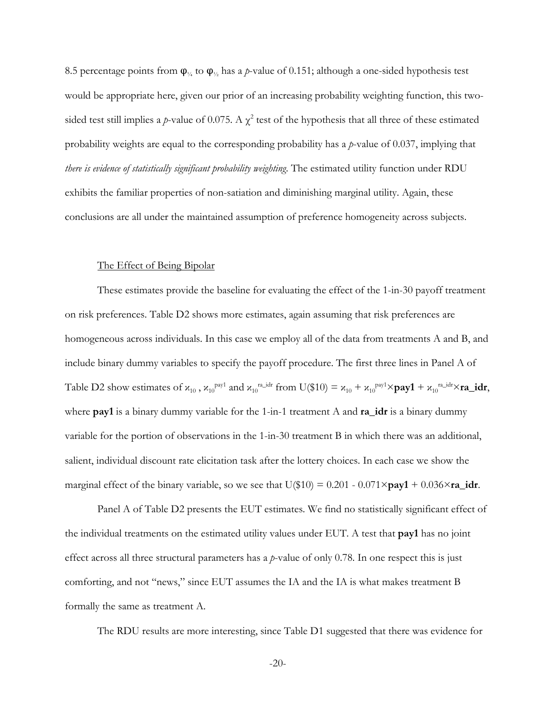8.5 percentage points from  $\varphi_{1/2}$  to  $\varphi_{1/2}$  has a *p*-value of 0.151; although a one-sided hypothesis test would be appropriate here, given our prior of an increasing probability weighting function, this twosided test still implies a *p*-value of 0.075. A  $\chi^2$  test of the hypothesis that all three of these estimated probability weights are equal to the corresponding probability has a *p*-value of 0.037, implying that *there is evidence of statistically significant probability weighting*. The estimated utility function under RDU exhibits the familiar properties of non-satiation and diminishing marginal utility. Again, these conclusions are all under the maintained assumption of preference homogeneity across subjects.

#### The Effect of Being Bipolar

These estimates provide the baseline for evaluating the effect of the 1-in-30 payoff treatment on risk preferences. Table D2 shows more estimates, again assuming that risk preferences are homogeneous across individuals. In this case we employ all of the data from treatments A and B, and include binary dummy variables to specify the payoff procedure. The first three lines in Panel A of Table D2 show estimates of  $x_{10}$ ,  $x_{10}^{pay1}$  and  $x_{10}^{ra\_idr}$  from U(\$10) =  $x_{10} + x_{10}^{pay1} \times$ **pay1** +  $x_{10}^{ra\_idr} \times$ **ra\_idr**, where **pay1** is a binary dummy variable for the 1-in-1 treatment A and **ra\_idr** is a binary dummy variable for the portion of observations in the 1-in-30 treatment B in which there was an additional, salient, individual discount rate elicitation task after the lottery choices. In each case we show the marginal effect of the binary variable, so we see that  $U(\$10) = 0.201 - 0.071 \times \text{pay1} + 0.036 \times \text{ra\_idr}$ .

Panel A of Table D2 presents the EUT estimates. We find no statistically significant effect of the individual treatments on the estimated utility values under EUT. A test that **pay1** has no joint effect across all three structural parameters has a *p*-value of only 0.78. In one respect this is just comforting, and not "news," since EUT assumes the IA and the IA is what makes treatment B formally the same as treatment A.

The RDU results are more interesting, since Table D1 suggested that there was evidence for

-20-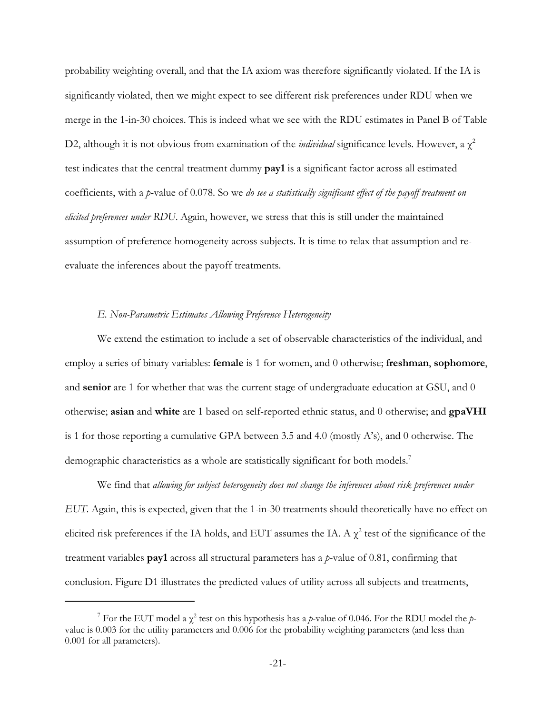probability weighting overall, and that the IA axiom was therefore significantly violated. If the IA is significantly violated, then we might expect to see different risk preferences under RDU when we merge in the 1-in-30 choices. This is indeed what we see with the RDU estimates in Panel B of Table D2, although it is not obvious from examination of the *individual* significance levels. However, a  $\chi^2$ test indicates that the central treatment dummy **pay1** is a significant factor across all estimated coefficients, with a *p*-value of 0.078. So we *do see a statistically significant effect of the payoff treatment on elicited preferences under RDU*. Again, however, we stress that this is still under the maintained assumption of preference homogeneity across subjects. It is time to relax that assumption and reevaluate the inferences about the payoff treatments.

### *E. Non-Parametric Estimates Allowing Preference Heterogeneity*

We extend the estimation to include a set of observable characteristics of the individual, and employ a series of binary variables: **female** is 1 for women, and 0 otherwise; **freshman**, **sophomore**, and **senior** are 1 for whether that was the current stage of undergraduate education at GSU, and 0 otherwise; **asian** and **white** are 1 based on self-reported ethnic status, and 0 otherwise; and **gpaVHI** is 1 for those reporting a cumulative GPA between 3.5 and 4.0 (mostly A's), and 0 otherwise. The demographic characteristics as a whole are statistically significant for both models.<sup>7</sup>

We find that *allowing for subject heterogeneity does not change the inferences about risk preferences under EUT*. Again, this is expected, given that the 1-in-30 treatments should theoretically have no effect on elicited risk preferences if the IA holds, and EUT assumes the IA. A  $\chi^2$  test of the significance of the treatment variables **pay1** across all structural parameters has a *p*-value of 0.81, confirming that conclusion. Figure D1 illustrates the predicted values of utility across all subjects and treatments,

<sup>&</sup>lt;sup>7</sup> For the EUT model a  $\chi^2$  test on this hypothesis has a *p*-value of 0.046. For the RDU model the *p*value is 0.003 for the utility parameters and 0.006 for the probability weighting parameters (and less than 0.001 for all parameters).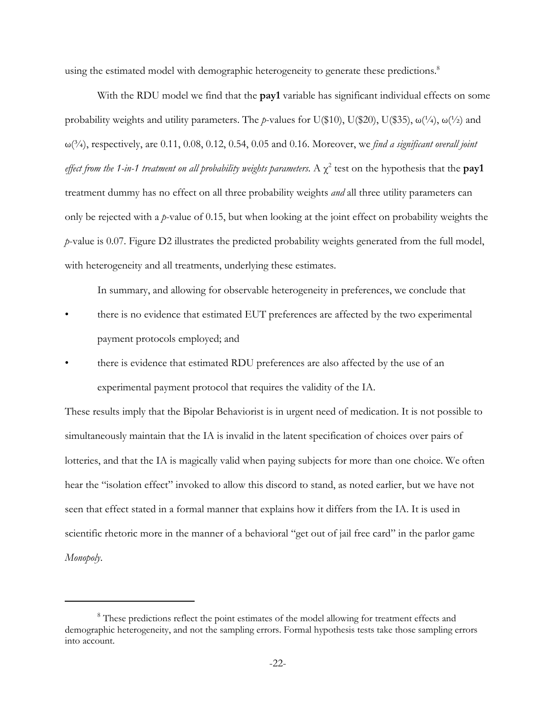using the estimated model with demographic heterogeneity to generate these predictions.<sup>8</sup>

With the RDU model we find that the **pay1** variable has significant individual effects on some probability weights and utility parameters. The *p*-values for U(\$10), U(\$20), U(\$35),  $\omega$ (1/4),  $\omega$ (1/2) and ω(¾), respectively, are 0.11, 0.08, 0.12, 0.54, 0.05 and 0.16. Moreover, we *find a significant overall joint effect from the 1-in-1 treatment on all probability weights parameters*. A  $\chi^2$  test on the hypothesis that the  $pay1$ treatment dummy has no effect on all three probability weights *and* all three utility parameters can only be rejected with a *p*-value of 0.15, but when looking at the joint effect on probability weights the *p*-value is 0.07. Figure D2 illustrates the predicted probability weights generated from the full model, with heterogeneity and all treatments, underlying these estimates.

In summary, and allowing for observable heterogeneity in preferences, we conclude that

- there is no evidence that estimated EUT preferences are affected by the two experimental payment protocols employed; and
- there is evidence that estimated RDU preferences are also affected by the use of an experimental payment protocol that requires the validity of the IA.

These results imply that the Bipolar Behaviorist is in urgent need of medication. It is not possible to simultaneously maintain that the IA is invalid in the latent specification of choices over pairs of lotteries, and that the IA is magically valid when paying subjects for more than one choice. We often hear the "isolation effect" invoked to allow this discord to stand, as noted earlier, but we have not seen that effect stated in a formal manner that explains how it differs from the IA. It is used in scientific rhetoric more in the manner of a behavioral "get out of jail free card" in the parlor game *Monopoly*.

 $8$  These predictions reflect the point estimates of the model allowing for treatment effects and demographic heterogeneity, and not the sampling errors. Formal hypothesis tests take those sampling errors into account.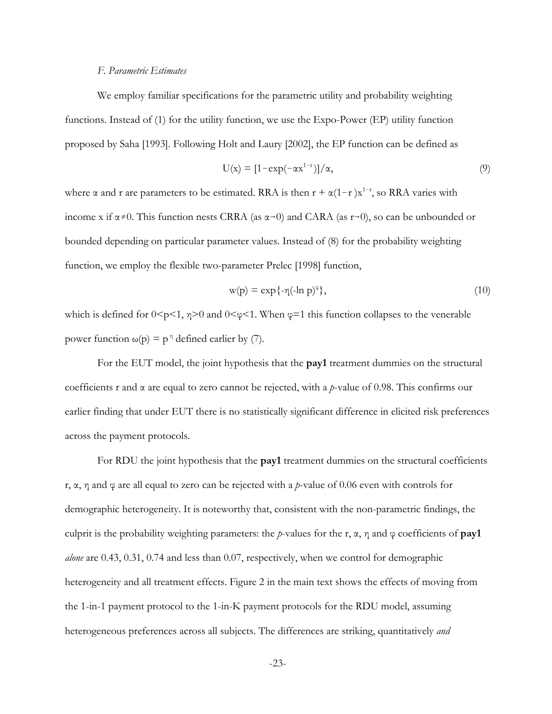### *F. Parametric Estimates*

We employ familiar specifications for the parametric utility and probability weighting functions. Instead of (1) for the utility function, we use the Expo-Power (EP) utility function proposed by Saha [1993]. Following Holt and Laury [2002], the EP function can be defined as

$$
U(x) = \left[1 - \exp(-\alpha x^{1-r})\right]/\alpha,\tag{9}
$$

where  $\alpha$  and r are parameters to be estimated. RRA is then  $r + \alpha(1-r)x^{1-r}$ , so RRA varies with income x if  $\alpha \neq 0$ . This function nests CRRA (as  $\alpha \rightarrow 0$ ) and CARA (as  $r \rightarrow 0$ ), so can be unbounded or bounded depending on particular parameter values. Instead of (8) for the probability weighting function, we employ the flexible two-parameter Prelec [1998] function,

$$
w(p) = \exp\{-\eta(-\ln p)^{\varphi}\},\tag{10}
$$

which is defined for  $0 \le p \le 1$ ,  $\eta \ge 0$  and  $0 \le p \le 1$ . When  $\varphi = 1$  this function collapses to the venerable power function  $\omega(p) = p^{\eta}$  defined earlier by (7).

For the EUT model, the joint hypothesis that the **pay1** treatment dummies on the structural coefficients r and α are equal to zero cannot be rejected, with a *p*-value of 0.98. This confirms our earlier finding that under EUT there is no statistically significant difference in elicited risk preferences across the payment protocols.

For RDU the joint hypothesis that the **pay1** treatment dummies on the structural coefficients r, α, η and φ are all equal to zero can be rejected with a *p*-value of 0.06 even with controls for demographic heterogeneity. It is noteworthy that, consistent with the non-parametric findings, the culprit is the probability weighting parameters: the *p*-values for the r,  $\alpha$ ,  $\eta$  and  $\phi$  coefficients of **pay1** *alone* are 0.43, 0.31, 0.74 and less than 0.07, respectively, when we control for demographic heterogeneity and all treatment effects. Figure 2 in the main text shows the effects of moving from the 1-in-1 payment protocol to the 1-in-K payment protocols for the RDU model, assuming heterogeneous preferences across all subjects. The differences are striking, quantitatively *and*

-23-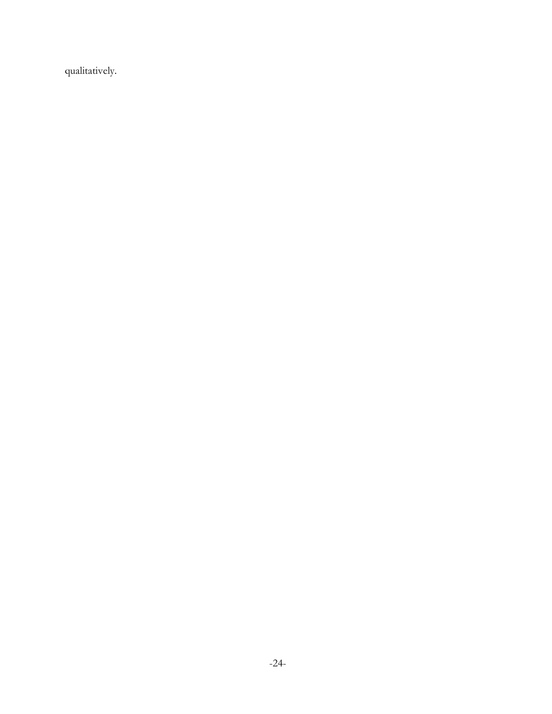qualitatively.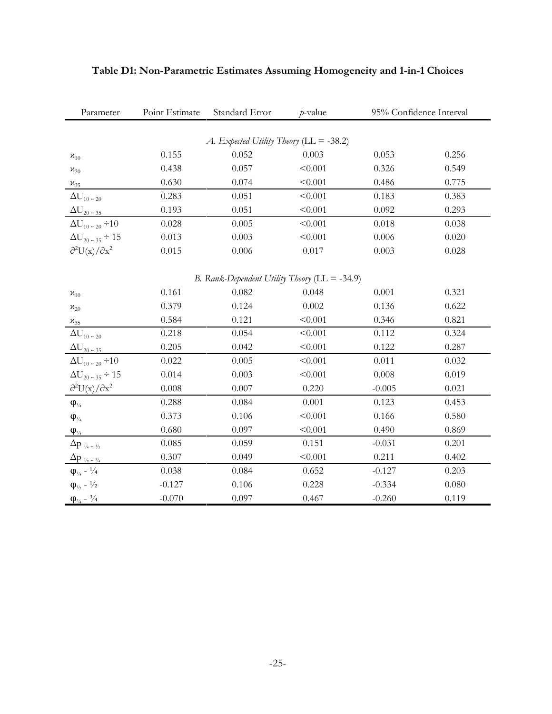| Parameter                                            | Point Estimate | Standard Error                                   | $p$ -value | 95% Confidence Interval |       |
|------------------------------------------------------|----------------|--------------------------------------------------|------------|-------------------------|-------|
|                                                      |                |                                                  |            |                         |       |
|                                                      |                | A. Expected Utility Theory (LL = $-38.2$ )       |            |                         |       |
| $\varkappa_{10}$                                     | 0.155          | 0.052                                            | 0.003      | 0.053                   | 0.256 |
| $\varkappa_{20}$                                     | 0.438          | 0.057                                            | < 0.001    | 0.326                   | 0.549 |
| $\mathcal{u}_{35}$                                   | 0.630          | 0.074                                            | < 0.001    | 0.486                   | 0.775 |
| $\Delta U_{10\; \text{m}\; 20}$                      | 0.283          | 0.051                                            | < 0.001    | 0.183                   | 0.383 |
| $\Delta U_{20 \div 35}$                              | 0.193          | 0.051                                            | < 0.001    | 0.092                   | 0.293 |
| $\Delta U_{10 \rightarrow 20} \div 10$               | 0.028          | 0.005                                            | < 0.001    | 0.018                   | 0.038 |
| $\Delta U_{20 \div 35} \div 15$                      | 0.013          | 0.003                                            | < 0.001    | 0.006                   | 0.020 |
| $\partial^2 U(x)/\partial x^2$                       | 0.015          | 0.006                                            | 0.017      | 0.003                   | 0.028 |
|                                                      |                |                                                  |            |                         |       |
|                                                      |                | B. Rank-Dependent Utility Theory (LL = $-34.9$ ) |            |                         |       |
| $\mathfrak{u}_{10}$                                  | 0.161          | 0.082                                            | 0.048      | 0.001                   | 0.321 |
| $\varkappa_{20}$                                     | 0.379          | 0.124                                            | 0.002      | 0.136                   | 0.622 |
| $\mathfrak{u}_{35}$                                  | 0.584          | 0.121                                            | < 0.001    | 0.346                   | 0.821 |
| $\Delta U_{10\;\div\;20}$                            | 0.218          | 0.054                                            | < 0.001    | 0.112                   | 0.324 |
| $\Delta U_{20 \rightarrow 35}$                       | 0.205          | 0.042                                            | < 0.001    | 0.122                   | 0.287 |
| $\Delta U_{10\;\div\;20}\;\dot=\;10$                 | 0.022          | 0.005                                            | < 0.001    | 0.011                   | 0.032 |
| $\Delta U_{20 \div 35} \div 15$                      | 0.014          | 0.003                                            | < 0.001    | 0.008                   | 0.019 |
| $\partial^2 U(x)/\partial x^2$                       | 0.008          | 0.007                                            | 0.220      | $-0.005$                | 0.021 |
| $\phi_{\text{V}_4}$                                  | 0.288          | 0.084                                            | 0.001      | 0.123                   | 0.453 |
| $\phi_{\text{V}_2}$                                  | 0.373          | 0.106                                            | < 0.001    | 0.166                   | 0.580 |
| $\phi_{\frac{3}{4}}$                                 | 0.680          | 0.097                                            | < 0.001    | 0.490                   | 0.869 |
| $\Delta p_{\nu_4\; \leftrightarrow \; \nu_2}$        | 0.085          | 0.059                                            | 0.151      | $-0.031$                | 0.201 |
| $\Delta p_{\frac{1}{2} \leftrightarrow \frac{3}{4}}$ | 0.307          | 0.049                                            | < 0.001    | 0.211                   | 0.402 |
| $\phi_{\frac{1}{4}}$ - $\frac{1}{4}$                 | 0.038          | 0.084                                            | 0.652      | $-0.127$                | 0.203 |
| $\phi_{\frac{1}{2}}$ - $\frac{1}{2}$                 | $-0.127$       | 0.106                                            | 0.228      | $-0.334$                | 0.080 |
| $\phi_{\frac{3}{4}} - \frac{3}{4}$                   | $-0.070$       | 0.097                                            | 0.467      | $-0.260$                | 0.119 |

# **Table D1: Non-Parametric Estimates Assuming Homogeneity and 1-in-1 Choices**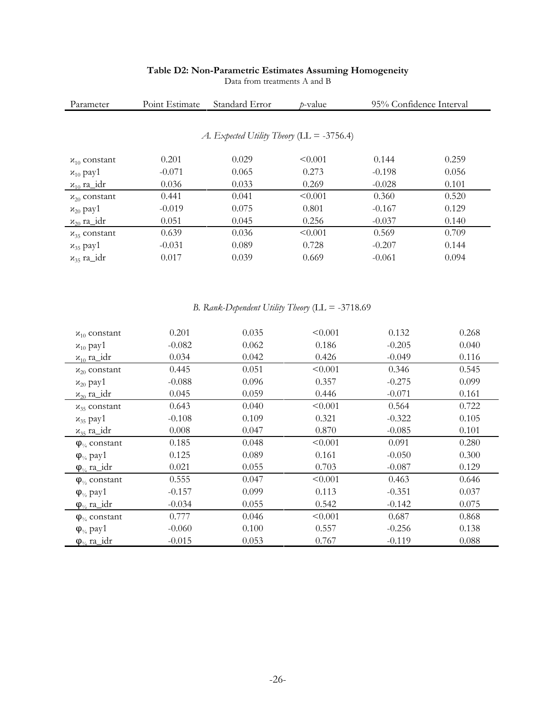### **Table D2: Non-Parametric Estimates Assuming Homogeneity**

| Parameter                        | Point Estimate | Standard Error                                  | $p$ -value | 95% Confidence Interval |       |
|----------------------------------|----------------|-------------------------------------------------|------------|-------------------------|-------|
|                                  |                | A. Expected Utility Theory (LL = $-3756.4$ )    |            |                         |       |
|                                  |                |                                                 |            |                         |       |
| $x_{10}$ constant                | 0.201          | 0.029                                           | < 0.001    | 0.144                   | 0.259 |
| $x_{10}$ pay1                    | $-0.071$       | 0.065                                           | 0.273      | $-0.198$                | 0.056 |
| $x_{10}$ ra_idr                  | 0.036          | 0.033                                           | 0.269      | $-0.028$                | 0.101 |
| $x_{20}$ constant                | 0.441          | 0.041                                           | < 0.001    | 0.360                   | 0.520 |
| $x_{20}$ pay1                    | $-0.019$       | 0.075                                           | 0.801      | $-0.167$                | 0.129 |
| $x_{20}$ ra_idr                  | 0.051          | 0.045                                           | 0.256      | $-0.037$                | 0.140 |
| $x_{35}$ constant                | 0.639          | 0.036                                           | < 0.001    | 0.569                   | 0.709 |
| $x_{35}$ pay1                    | $-0.031$       | 0.089                                           | 0.728      | $-0.207$                | 0.144 |
| $x_{35}$ ra_idr                  | 0.017          | 0.039                                           | 0.669      | $-0.061$                | 0.094 |
|                                  |                |                                                 |            |                         |       |
|                                  |                | B. Rank-Dependent Utility Theory (LL = -3718.69 |            |                         |       |
|                                  |                |                                                 |            |                         |       |
| $x_{10}$ constant                | 0.201          | 0.035                                           | < 0.001    | 0.132                   | 0.268 |
| $x_{10}$ pay1                    | $-0.082$       | 0.062                                           | 0.186      | $-0.205$                | 0.040 |
| $x_{10}$ ra_idr                  | 0.034          | 0.042                                           | 0.426      | $-0.049$                | 0.116 |
| $x_{20}$ constant                | 0.445          | 0.051                                           | < 0.001    | 0.346                   | 0.545 |
| $\mathfrak{u}_{20}$ pay1         | $-0.088$       | 0.096                                           | 0.357      | $-0.275$                | 0.099 |
| $x_{20}$ ra_idr                  | 0.045          | 0.059                                           | 0.446      | $-0.071$                | 0.161 |
| $x_{35}$ constant                | 0.643          | 0.040                                           | < 0.001    | 0.564                   | 0.722 |
| $x_{35}$ pay1                    | $-0.108$       | 0.109                                           | 0.321      | $-0.322$                | 0.105 |
| $x_{35}$ ra_idr                  | 0.008          | 0.047                                           | 0.870      | $-0.085$                | 0.101 |
| $\varphi_{\frac{1}{4}}$ constant | 0.185          | 0.048                                           | < 0.001    | 0.091                   | 0.280 |
| $\varphi_{\frac{1}{4}}$ pay1     | 0.125          | 0.089                                           | 0.161      | $-0.050$                | 0.300 |
| $\varphi_{\frac{1}{4}}$ ra_idr   | 0.021          | 0.055                                           | 0.703      | $-0.087$                | 0.129 |
| $\varphi_{\frac{1}{2}}$ constant | 0.555          | 0.047                                           | < 0.001    | 0.463                   | 0.646 |
| $\varphi_{\frac{1}{2}}$ pay1     | $-0.157$       | 0.099                                           | 0.113      | $-0.351$                | 0.037 |
| $\varphi_{\frac{1}{2}}$ ra_idr   | $-0.034$       | 0.055                                           | 0.542      | $-0.142$                | 0.075 |
| $\varphi_{\frac{3}{4}}$ constant | 0.777          | 0.046                                           | < 0.001    | 0.687                   | 0.868 |
| $\varphi_{\frac{3}{4}}$ pay1     | $-0.060$       | 0.100                                           | 0.557      | $-0.256$                | 0.138 |
| $\varphi_{\frac{3}{4}}$ ra_idr   | $-0.015$       | 0.053                                           | 0.767      | $-0.119$                | 0.088 |

Data from treatments A and B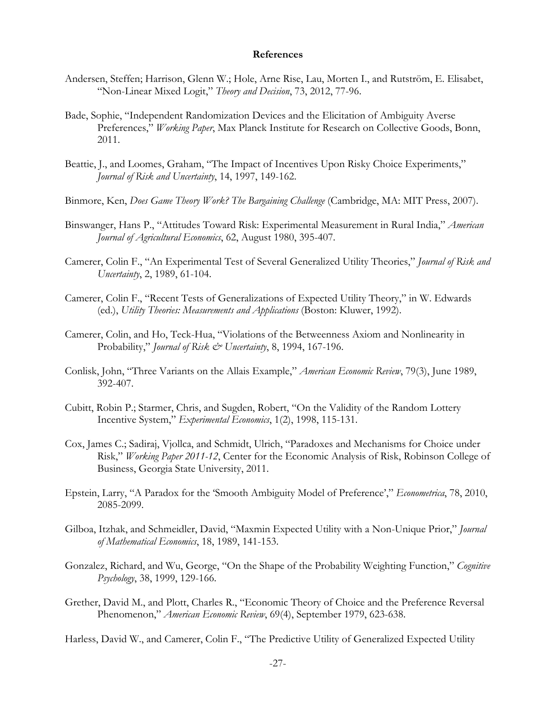### **References**

- Andersen, Steffen; Harrison, Glenn W.; Hole, Arne Rise, Lau, Morten I., and Rutström, E. Elisabet, "Non-Linear Mixed Logit," *Theory and Decision*, 73, 2012, 77-96.
- Bade, Sophie, "Independent Randomization Devices and the Elicitation of Ambiguity Averse Preferences," *Working Paper*, Max Planck Institute for Research on Collective Goods, Bonn, 2011.
- Beattie, J., and Loomes, Graham, "The Impact of Incentives Upon Risky Choice Experiments," *Journal of Risk and Uncertainty*, 14, 1997, 149-162.
- Binmore, Ken, *Does Game Theory Work? The Bargaining Challenge* (Cambridge, MA: MIT Press, 2007).
- Binswanger, Hans P., "Attitudes Toward Risk: Experimental Measurement in Rural India," *American Journal of Agricultural Economics*, 62, August 1980, 395-407.
- Camerer, Colin F., "An Experimental Test of Several Generalized Utility Theories," *Journal of Risk and Uncertainty*, 2, 1989, 61-104.
- Camerer, Colin F., "Recent Tests of Generalizations of Expected Utility Theory," in W. Edwards (ed.), *Utility Theories: Measurements and Applications* (Boston: Kluwer, 1992).
- Camerer, Colin, and Ho, Teck-Hua, "Violations of the Betweenness Axiom and Nonlinearity in Probability," *Journal of Risk & Uncertainty*, 8, 1994, 167-196.
- Conlisk, John, "Three Variants on the Allais Example," *American Economic Review*, 79(3), June 1989, 392-407.
- Cubitt, Robin P.; Starmer, Chris, and Sugden, Robert, "On the Validity of the Random Lottery Incentive System," *Experimental Economics*, 1(2), 1998, 115-131.
- Cox, James C.; Sadiraj, Vjollca, and Schmidt, Ulrich, "Paradoxes and Mechanisms for Choice under Risk," *Working Paper 2011-12*, Center for the Economic Analysis of Risk, Robinson College of Business, Georgia State University, 2011.
- Epstein, Larry, "A Paradox for the 'Smooth Ambiguity Model of Preference'," *Econometrica*, 78, 2010, 2085-2099.
- Gilboa, Itzhak, and Schmeidler, David, "Maxmin Expected Utility with a Non-Unique Prior," *Journal of Mathematical Economics*, 18, 1989, 141-153.
- Gonzalez, Richard, and Wu, George, "On the Shape of the Probability Weighting Function," *Cognitive Psychology*, 38, 1999, 129-166.
- Grether, David M., and Plott, Charles R., "Economic Theory of Choice and the Preference Reversal Phenomenon," *American Economic Review*, 69(4), September 1979, 623-638.

Harless, David W., and Camerer, Colin F., "The Predictive Utility of Generalized Expected Utility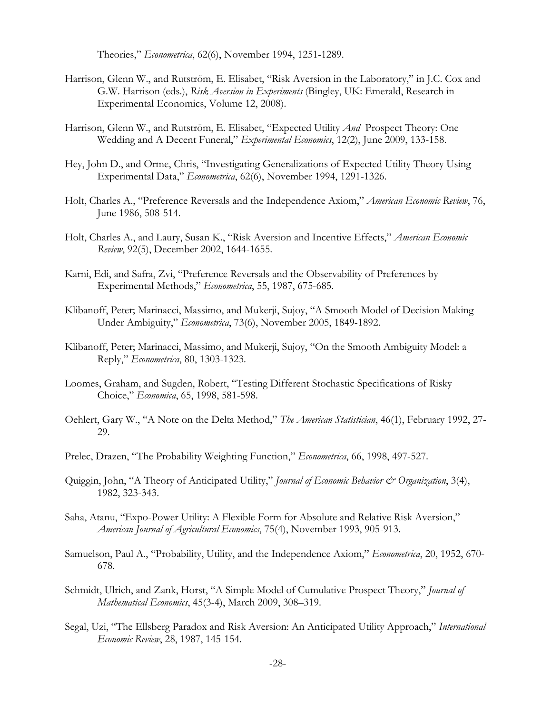Theories," *Econometrica*, 62(6), November 1994, 1251-1289.

- Harrison, Glenn W., and Rutström, E. Elisabet, "Risk Aversion in the Laboratory," in J.C. Cox and G.W. Harrison (eds.), *Risk Aversion in Experiments* (Bingley, UK: Emerald, Research in Experimental Economics, Volume 12, 2008).
- Harrison, Glenn W., and Rutström, E. Elisabet, "Expected Utility *And* Prospect Theory: One Wedding and A Decent Funeral," *Experimental Economics*, 12(2), June 2009, 133-158.
- Hey, John D., and Orme, Chris, "Investigating Generalizations of Expected Utility Theory Using Experimental Data," *Econometrica*, 62(6), November 1994, 1291-1326.
- Holt, Charles A., "Preference Reversals and the Independence Axiom," *American Economic Review*, 76, June 1986, 508-514.
- Holt, Charles A., and Laury, Susan K., "Risk Aversion and Incentive Effects," *American Economic Review*, 92(5), December 2002, 1644-1655.
- Karni, Edi, and Safra, Zvi, "Preference Reversals and the Observability of Preferences by Experimental Methods," *Econometrica*, 55, 1987, 675-685.
- Klibanoff, Peter; Marinacci, Massimo, and Mukerji, Sujoy, "A Smooth Model of Decision Making Under Ambiguity," *Econometrica*, 73(6), November 2005, 1849-1892.
- Klibanoff, Peter; Marinacci, Massimo, and Mukerji, Sujoy, "On the Smooth Ambiguity Model: a Reply," *Econometrica*, 80, 1303-1323.
- Loomes, Graham, and Sugden, Robert, "Testing Different Stochastic Specifications of Risky Choice," *Economica*, 65, 1998, 581-598.
- Oehlert, Gary W., "A Note on the Delta Method," *The American Statistician*, 46(1), February 1992, 27- 29.
- Prelec, Drazen, "The Probability Weighting Function," *Econometrica*, 66, 1998, 497-527.
- Quiggin, John, "A Theory of Anticipated Utility," *Journal of Economic Behavior & Organization*, 3(4), 1982, 323-343.
- Saha, Atanu, "Expo-Power Utility: A Flexible Form for Absolute and Relative Risk Aversion," *American Journal of Agricultural Economics*, 75(4), November 1993, 905-913.
- Samuelson, Paul A., "Probability, Utility, and the Independence Axiom," *Econometrica*, 20, 1952, 670- 678.
- Schmidt, Ulrich, and Zank, Horst, "A Simple Model of Cumulative Prospect Theory," *Journal of Mathematical Economics*, 45(3-4), March 2009, 308–319.
- Segal, Uzi, "The Ellsberg Paradox and Risk Aversion: An Anticipated Utility Approach," *International Economic Review*, 28, 1987, 145-154.